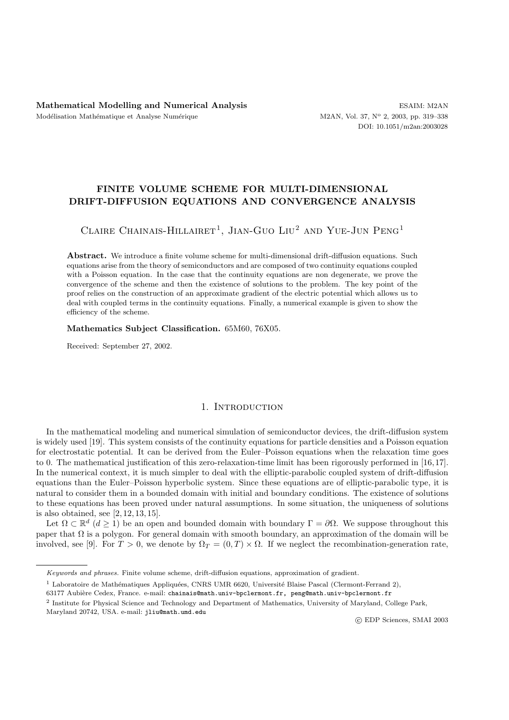# **FINITE VOLUME SCHEME FOR MULTI-DIMENSIONAL DRIFT-DIFFUSION EQUATIONS AND CONVERGENCE ANALYSIS**

# CLAIRE CHAINAIS-HILLAIRET<sup>1</sup>, JIAN-GUO LIU<sup>2</sup> AND YUE-JUN PENG<sup>1</sup>

**Abstract.** We introduce a finite volume scheme for multi-dimensional drift-diffusion equations. Such equations arise from the theory of semiconductors and are composed of two continuity equations coupled with a Poisson equation. In the case that the continuity equations are non degenerate, we prove the convergence of the scheme and then the existence of solutions to the problem. The key point of the proof relies on the construction of an approximate gradient of the electric potential which allows us to deal with coupled terms in the continuity equations. Finally, a numerical example is given to show the efficiency of the scheme.

#### **Mathematics Subject Classification.** 65M60, 76X05.

Received: September 27, 2002.

## 1. INTRODUCTION

In the mathematical modeling and numerical simulation of semiconductor devices, the drift-diffusion system is widely used [19]. This system consists of the continuity equations for particle densities and a Poisson equation for electrostatic potential. It can be derived from the Euler–Poisson equations when the relaxation time goes to 0. The mathematical justification of this zero-relaxation-time limit has been rigorously performed in [16,17]. In the numerical context, it is much simpler to deal with the elliptic-parabolic coupled system of drift-diffusion equations than the Euler–Poisson hyperbolic system. Since these equations are of elliptic-parabolic type, it is natural to consider them in a bounded domain with initial and boundary conditions. The existence of solutions to these equations has been proved under natural assumptions. In some situation, the uniqueness of solutions is also obtained, see [2, 12, 13, 15].

Let  $\Omega \subset \mathbb{R}^d$   $(d \geq 1)$  be an open and bounded domain with boundary  $\Gamma = \partial \Omega$ . We suppose throughout this paper that  $\Omega$  is a polygon. For general domain with smooth boundary, an approximation of the domain will be involved, see [9]. For  $T > 0$ , we denote by  $\Omega_T = (0, T) \times \Omega$ . If we neglect the recombination-generation rate,

Keywords and phrases. Finite volume scheme, drift-diffusion equations, approximation of gradient.

 $1$  Laboratoire de Mathématiques Appliquées, CNRS UMR 6620, Université Blaise Pascal (Clermont-Ferrand 2),

<sup>63177</sup> Aubière Cedex, France. e-mail: chainais@math.univ-bpclermont.fr, peng@math.univ-bpclermont.fr

<sup>2</sup> Institute for Physical Science and Technology and Department of Mathematics, University of Maryland, College Park,

Maryland 20742, USA. e-mail: jliu@math.umd.edu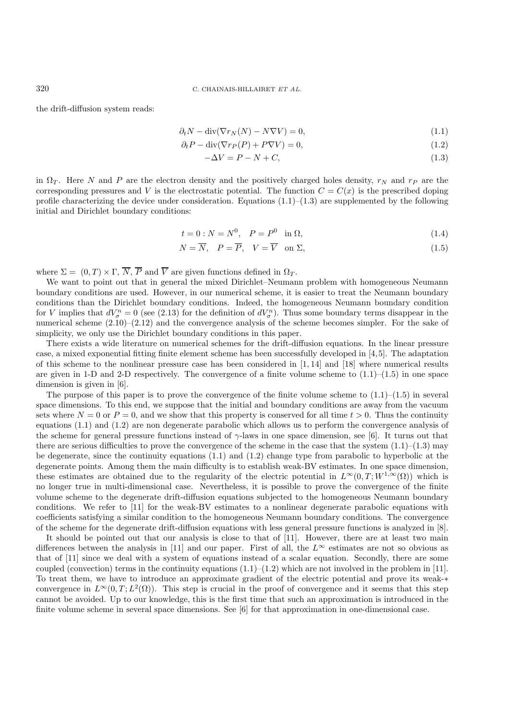the drift-diffusion system reads:

$$
\partial_t N - \operatorname{div}(\nabla r_N(N) - N\nabla V) = 0,\tag{1.1}
$$

$$
\partial_t P - \operatorname{div}(\nabla r_P(P) + P\nabla V) = 0,\tag{1.2}
$$

$$
-\Delta V = P - N + C,\tag{1.3}
$$

in  $\Omega_T$ . Here N and P are the electron density and the positively charged holes density,  $r_N$  and  $r_P$  are the corresponding pressures and V is the electrostatic potential. The function  $C = C(x)$  is the prescribed doping profile characterizing the device under consideration. Equations  $(1.1)$ – $(1.3)$  are supplemented by the following initial and Dirichlet boundary conditions:

$$
t = 0: N = N^{0}, \quad P = P^{0} \text{ in } \Omega,
$$
\n(1.4)

$$
N = \overline{N}, \quad P = \overline{P}, \quad V = \overline{V} \quad \text{on } \Sigma,
$$
\n
$$
(1.5)
$$

where  $\Sigma = (0, T) \times \Gamma$ ,  $\overline{N}$ ,  $\overline{P}$  and  $\overline{V}$  are given functions defined in  $\Omega_T$ .

We want to point out that in general the mixed Dirichlet–Neumann problem with homogeneous Neumann boundary conditions are used. However, in our numerical scheme, it is easier to treat the Neumann boundary conditions than the Dirichlet boundary conditions. Indeed, the homogeneous Neumann boundary condition for V implies that  $dV_{\sigma}^{n} = 0$  (see (2.13) for the definition of  $dV_{\sigma}^{n}$ ). Thus some boundary terms disappear in the numerical scheme (2.10)–(2.12) and the convergence analysis of the scheme becomes simpler. For the sake of simplicity, we only use the Dirichlet boundary conditions in this paper.

There exists a wide literature on numerical schemes for the drift-diffusion equations. In the linear pressure case, a mixed exponential fitting finite element scheme has been successfully developed in [4,5]. The adaptation of this scheme to the nonlinear pressure case has been considered in [1, 14] and [18] where numerical results are given in 1-D and 2-D respectively. The convergence of a finite volume scheme to  $(1.1)$ – $(1.5)$  in one space dimension is given in [6].

The purpose of this paper is to prove the convergence of the finite volume scheme to  $(1.1)$ – $(1.5)$  in several space dimensions. To this end, we suppose that the initial and boundary conditions are away from the vacuum sets where  $N = 0$  or  $P = 0$ , and we show that this property is conserved for all time  $t > 0$ . Thus the continuity equations (1.1) and (1.2) are non degenerate parabolic which allows us to perform the convergence analysis of the scheme for general pressure functions instead of  $\gamma$ -laws in one space dimension, see [6]. It turns out that there are serious difficulties to prove the convergence of the scheme in the case that the system  $(1.1)$ – $(1.3)$  may be degenerate, since the continuity equations (1.1) and (1.2) change type from parabolic to hyperbolic at the degenerate points. Among them the main difficulty is to establish weak-BV estimates. In one space dimension, these estimates are obtained due to the regularity of the electric potential in  $L^{\infty}(0,T;W^{1,\infty}(\Omega))$  which is no longer true in multi-dimensional case. Nevertheless, it is possible to prove the convergence of the finite volume scheme to the degenerate drift-diffusion equations subjected to the homogeneous Neumann boundary conditions. We refer to [11] for the weak-BV estimates to a nonlinear degenerate parabolic equations with coefficients satisfying a similar condition to the homogeneous Neumann boundary conditions. The convergence of the scheme for the degenerate drift-diffusion equations with less general pressure functions is analyzed in [8].

It should be pointed out that our analysis is close to that of [11]. However, there are at least two main differences between the analysis in [11] and our paper. First of all, the  $L^{\infty}$  estimates are not so obvious as that of [11] since we deal with a system of equations instead of a scalar equation. Secondly, there are some coupled (convection) terms in the continuity equations  $(1.1)$ – $(1.2)$  which are not involved in the problem in [11]. To treat them, we have to introduce an approximate gradient of the electric potential and prove its weak-∗ convergence in  $L^{\infty}(0,T;L^{2}(\Omega))$ . This step is crucial in the proof of convergence and it seems that this step cannot be avoided. Up to our knowledge, this is the first time that such an approximation is introduced in the finite volume scheme in several space dimensions. See [6] for that approximation in one-dimensional case.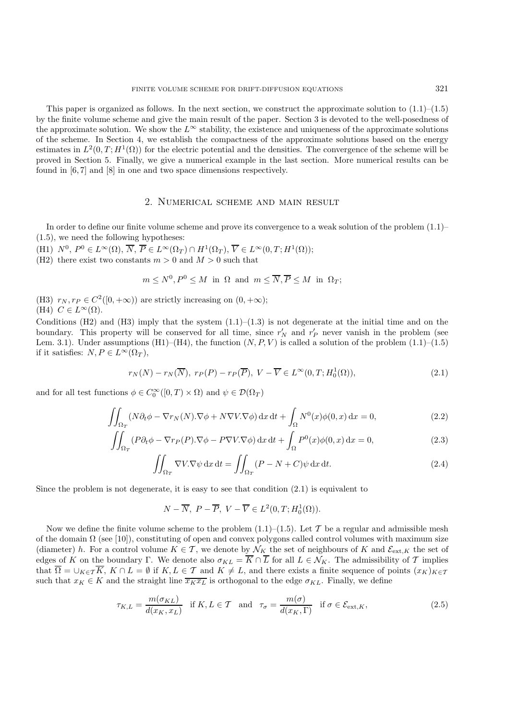This paper is organized as follows. In the next section, we construct the approximate solution to  $(1.1)$ – $(1.5)$ by the finite volume scheme and give the main result of the paper. Section 3 is devoted to the well-posedness of the approximate solution. We show the  $L^{\infty}$  stability, the existence and uniqueness of the approximate solutions of the scheme. In Section 4, we establish the compactness of the approximate solutions based on the energy estimates in  $L^2(0,T;H^1(\Omega))$  for the electric potential and the densities. The convergence of the scheme will be proved in Section 5. Finally, we give a numerical example in the last section. More numerical results can be found in [6, 7] and [8] in one and two space dimensions respectively.

## 2. Numerical scheme and main result

In order to define our finite volume scheme and prove its convergence to a weak solution of the problem (1.1)– (1.5), we need the following hypotheses:

(H1)  $N^0, P^0 \in L^{\infty}(\Omega), \overline{N}, \overline{P} \in L^{\infty}(\Omega_T) \cap H^1(\Omega_T), \overline{V} \in L^{\infty}(0,T; H^1(\Omega));$ 

(H2) there exist two constants  $m > 0$  and  $M > 0$  such that

$$
m \le N^0, P^0 \le M
$$
 in  $\Omega$  and  $m \le \overline{N}, \overline{P} \le M$  in  $\Omega_T$ ;

- (H3)  $r_N, r_P \in C^2([0, +\infty))$  are strictly increasing on  $(0, +\infty);$ (H4)  $C \in L^{\infty}(\Omega)$ .
- 

Conditions (H2) and (H3) imply that the system  $(1.1)$ – $(1.3)$  is not degenerate at the initial time and on the boundary. This property will be conserved for all time, since  $r_N$  and  $r_P$  never vanish in the problem (see Lem. 3.1). Under assumptions  $(H1)$ – $(H4)$ , the function  $(N, P, V)$  is called a solution of the problem  $(1.1)$ – $(1.5)$ if it satisfies:  $N, P \in L^{\infty}(\Omega_T)$ ,

$$
r_N(N) - r_N(\overline{N}), \ r_P(P) - r_P(\overline{P}), \ V - \overline{V} \in L^{\infty}(0, T; H_0^1(\Omega)), \tag{2.1}
$$

and for all test functions  $\phi \in C_0^{\infty}([0,T) \times \Omega)$  and  $\psi \in \mathcal{D}(\Omega_T)$ 

$$
\iint_{\Omega_T} (N \partial_t \phi - \nabla r_N(N) . \nabla \phi + N \nabla V . \nabla \phi) \, dx \, dt + \int_{\Omega} N^0(x) \phi(0, x) \, dx = 0,
$$
\n(2.2)

$$
\iint_{\Omega_T} (P \partial_t \phi - \nabla r_P(P) . \nabla \phi - P \nabla V . \nabla \phi) \, dx \, dt + \int_{\Omega} P^0(x) \phi(0, x) \, dx = 0,
$$
\n(2.3)

$$
\iint_{\Omega_T} \nabla V \cdot \nabla \psi \, \mathrm{d}x \, \mathrm{d}t = \iint_{\Omega_T} (P - N + C) \psi \, \mathrm{d}x \, \mathrm{d}t. \tag{2.4}
$$

Since the problem is not degenerate, it is easy to see that condition  $(2.1)$  is equivalent to

$$
N - \overline{N}, \ P - \overline{P}, \ V - \overline{V} \in L^2(0, T; H_0^1(\Omega)).
$$

Now we define the finite volume scheme to the problem  $(1.1)$ – $(1.5)$ . Let T be a regular and admissible mesh of the domain  $\Omega$  (see [10]), constituting of open and convex polygons called control volumes with maximum size (diameter) h. For a control volume  $K \in \mathcal{T}$ , we denote by  $\mathcal{N}_K$  the set of neighbours of K and  $\mathcal{E}_{ext,K}$  the set of edges of K on the boundary Γ. We denote also  $\sigma_{KL} = \overline{K} \cap \overline{L}$  for all  $L \in \mathcal{N}_K$ . The admissibility of T implies that  $\overline{\Omega} = \cup_{K \in \mathcal{T}} \overline{K}$ ,  $K \cap L = \emptyset$  if  $K, L \in \mathcal{T}$  and  $K \neq L$ , and there exists a finite sequence of points  $(x_K)_{K \in \mathcal{T}}$ such that  $x_K \\in K$  and the straight line  $\overline{x_Kx_L}$  is orthogonal to the edge  $\sigma_{KL}$ . Finally, we define

$$
\tau_{K,L} = \frac{m(\sigma_{KL})}{d(x_K, x_L)} \quad \text{if } K, L \in \mathcal{T} \quad \text{and} \quad \tau_\sigma = \frac{m(\sigma)}{d(x_K, \Gamma)} \quad \text{if } \sigma \in \mathcal{E}_{\text{ext}, K}, \tag{2.5}
$$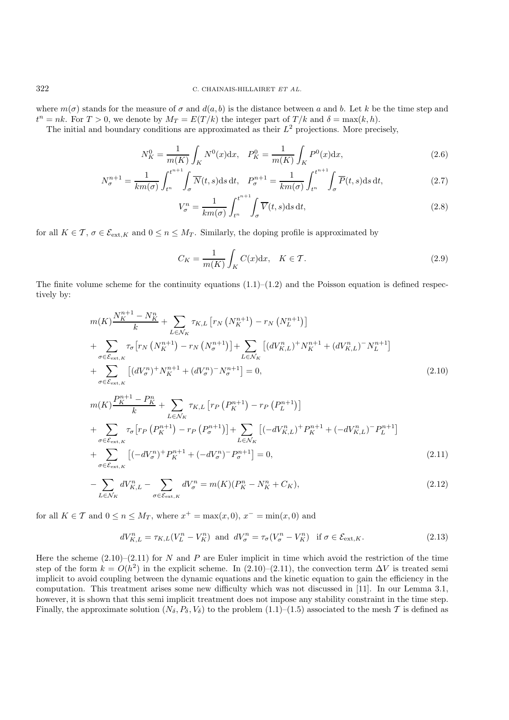where  $m(\sigma)$  stands for the measure of  $\sigma$  and  $d(a, b)$  is the distance between a and b. Let k be the time step and  $t^n = nk$ . For  $T > 0$ , we denote by  $M_T = E(T/k)$  the integer part of  $T/k$  and  $\delta = \max(k, h)$ .

The initial and boundary conditions are approximated as their  $L^2$  projections. More precisely,

$$
N_K^0 = \frac{1}{m(K)} \int_K N^0(x) dx, \quad P_K^0 = \frac{1}{m(K)} \int_K P^0(x) dx,
$$
\n(2.6)

$$
N_{\sigma}^{n+1} = \frac{1}{km(\sigma)} \int_{t^n}^{t^{n+1}} \int_{\sigma} \overline{N}(t,s) \, \mathrm{d}s \, \mathrm{d}t, \quad P_{\sigma}^{n+1} = \frac{1}{km(\sigma)} \int_{t^n}^{t^{n+1}} \int_{\sigma} \overline{P}(t,s) \, \mathrm{d}s \, \mathrm{d}t,\tag{2.7}
$$

$$
V_{\sigma}^{n} = \frac{1}{km(\sigma)} \int_{t^{n}}^{t^{n+1}} \int_{\sigma} \overline{V}(t, s) \, \mathrm{d}s \, \mathrm{d}t,\tag{2.8}
$$

for all  $K \in \mathcal{T}$ ,  $\sigma \in \mathcal{E}_{ext,K}$  and  $0 \leq n \leq M_T$ . Similarly, the doping profile is approximated by

$$
C_K = \frac{1}{m(K)} \int_K C(x) dx, \quad K \in \mathcal{T}.
$$
\n(2.9)

The finite volume scheme for the continuity equations  $(1.1)$ – $(1.2)$  and the Poisson equation is defined respectively by:

$$
m(K)\frac{N_K^{n+1} - N_K^n}{k} + \sum_{L \in \mathcal{N}_K} \tau_{K,L} \left[ r_N \left( N_K^{n+1} \right) - r_N \left( N_L^{n+1} \right) \right]
$$
  
+ 
$$
\sum_{\sigma \in \mathcal{E}_{\text{ext},K}} \tau_{\sigma} \left[ r_N \left( N_K^{n+1} \right) - r_N \left( N_{\sigma}^{n+1} \right) \right] + \sum_{L \in \mathcal{N}_K} \left[ \left( dV_{K,L}^n \right)^+ N_K^{n+1} + \left( dV_{K,L}^n \right)^- N_L^{n+1} \right]
$$
  
+ 
$$
\sum_{\sigma \in \mathcal{E}_{\text{ext},K}} \left[ \left( dV_{\sigma}^n \right)^+ N_K^{n+1} + \left( dV_{\sigma}^n \right)^- N_{\sigma}^{n+1} \right] = 0,
$$
 (2.10)

$$
m(K)\frac{P_K^{n+1} - P_K^n}{k} + \sum_{L \in \mathcal{N}_K} \tau_{K,L} \left[ r_P \left( P_K^{n+1} \right) - r_P \left( P_L^{n+1} \right) \right]
$$
  
+ 
$$
\sum_{\sigma \in \mathcal{E}_{\text{ext},K}} \tau_{\sigma} \left[ r_P \left( P_K^{n+1} \right) - r_P \left( P_{\sigma}^{n+1} \right) \right] + \sum_{L \in \mathcal{N}_K} \left[ \left( -dV_{K,L}^n \right)^+ P_K^{n+1} + \left( -dV_{K,L}^n \right)^- P_L^{n+1} \right]
$$
  
+ 
$$
\sum_{\sigma \in \mathcal{E}_{\text{ext},K}} \left[ \left( -dV_{\sigma}^n \right)^+ P_K^{n+1} + \left( -dV_{\sigma}^n \right)^- P_{\sigma}^{n+1} \right] = 0,
$$
 (2.11)

$$
-\sum_{L\in\mathcal{N}_K} dV_{K,L}^n - \sum_{\sigma\in\mathcal{E}_{\text{ext},K}} dV_{\sigma}^n = m(K)(P_K^n - N_K^n + C_K),\tag{2.12}
$$

for all  $K \in \mathcal{T}$  and  $0 \leq n \leq M_T$ , where  $x^+ = \max(x, 0), x^- = \min(x, 0)$  and

$$
dV_{K,L}^{n} = \tau_{K,L}(V_{L}^{n} - V_{K}^{n}) \text{ and } dV_{\sigma}^{n} = \tau_{\sigma}(V_{\sigma}^{n} - V_{K}^{n}) \text{ if } \sigma \in \mathcal{E}_{\text{ext},K}.
$$
\n(2.13)

Here the scheme  $(2.10)$ – $(2.11)$  for N and P are Euler implicit in time which avoid the restriction of the time step of the form  $k = O(h^2)$  in the explicit scheme. In  $(2.10)$ – $(2.11)$ , the convection term  $\Delta V$  is treated semiimplicit to avoid coupling between the dynamic equations and the kinetic equation to gain the efficiency in the computation. This treatment arises some new difficulty which was not discussed in [11]. In our Lemma 3.1, however, it is shown that this semi implicit treatment does not impose any stability constraint in the time step. Finally, the approximate solution  $(N_{\delta}, P_{\delta}, V_{\delta})$  to the problem  $(1.1)$ – $(1.5)$  associated to the mesh T is defined as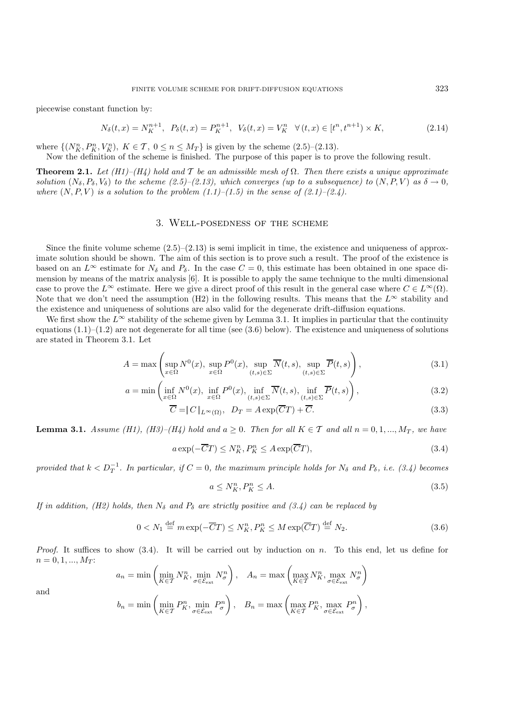piecewise constant function by:

$$
N_{\delta}(t,x) = N_K^{n+1}, \ P_{\delta}(t,x) = P_K^{n+1}, \ V_{\delta}(t,x) = V_K^n \ \ \forall (t,x) \in [t^n, t^{n+1}) \times K,
$$
\n(2.14)

where  $\{(N_K^n, P_K^n, V_K^n), K \in \mathcal{T}, 0 \le n \le M_T\}$  is given by the scheme  $(2.5)-(2.13)$ .

Now the definition of the scheme is finished. The purpose of this paper is to prove the following result.

**Theorem 2.1.** *Let*  $(H1)$ – $(H4)$  hold and T be an admissible mesh of  $\Omega$ *. Then there exists a unique approximate solution*  $(N_{\delta}, P_{\delta}, V_{\delta})$  *to the scheme* (2.5)–(2.13), which converges (up to a subsequence) to  $(N, P, V)$  as  $\delta \rightarrow 0$ , *where*  $(N, P, V)$  *is a solution to the problem*  $(1.1)$ – $(1.5)$  *in the sense of*  $(2.1)$ – $(2.4)$ .

#### 3. Well-posedness of the scheme

Since the finite volume scheme  $(2.5)-(2.13)$  is semi implicit in time, the existence and uniqueness of approximate solution should be shown. The aim of this section is to prove such a result. The proof of the existence is based on an  $L^{\infty}$  estimate for  $N_{\delta}$  and  $P_{\delta}$ . In the case  $C = 0$ , this estimate has been obtained in one space dimension by means of the matrix analysis [6]. It is possible to apply the same technique to the multi dimensional case to prove the  $L^{\infty}$  estimate. Here we give a direct proof of this result in the general case where  $C \in L^{\infty}(\Omega)$ . Note that we don't need the assumption (H2) in the following results. This means that the  $L^{\infty}$  stability and the existence and uniqueness of solutions are also valid for the degenerate drift-diffusion equations.

We first show the  $L^{\infty}$  stability of the scheme given by Lemma 3.1. It implies in particular that the continuity equations  $(1.1)$ – $(1.2)$  are not degenerate for all time (see  $(3.6)$  below). The existence and uniqueness of solutions are stated in Theorem 3.1. Let

$$
A = \max\left(\sup_{x \in \Omega} N^0(x), \sup_{x \in \Omega} P^0(x), \sup_{(t,s) \in \Sigma} \overline{N}(t,s), \sup_{(t,s) \in \Sigma} \overline{P}(t,s)\right),\tag{3.1}
$$

$$
a = \min\left(\inf_{x \in \Omega} N^0(x), \inf_{x \in \Omega} P^0(x), \inf_{(t,s) \in \Sigma} \overline{N}(t,s), \inf_{(t,s) \in \Sigma} \overline{P}(t,s)\right),\tag{3.2}
$$

$$
\overline{C} = \|C\|_{L^{\infty}(\Omega)}, \ D_T = A \exp(\overline{C}T) + \overline{C}.
$$
\n(3.3)

**Lemma 3.1.** *Assume (H1), (H3)–(H4) hold and*  $a \ge 0$ *. Then for all*  $K \in \mathcal{T}$  *and all*  $n = 0, 1, ..., M_T$ *, we have* 

$$
a\exp(-\overline{C}T) \le N_K^n, P_K^n \le A\exp(\overline{C}T),\tag{3.4}
$$

*provided that*  $k < D_T^{-1}$ . In particular, if  $C = 0$ , the maximum principle holds for  $N_{\delta}$  and  $P_{\delta}$ , i.e. (3.4) becomes

$$
a \le N_K^n, P_K^n \le A. \tag{3.5}
$$

*If in addition, (H2) holds, then*  $N_{\delta}$  *and*  $P_{\delta}$  *are strictly positive and (3.4) can be replaced by* 

$$
0 < N_1 \stackrel{\text{def}}{=} m \exp(-\overline{C}T) \le N_K^n, P_K^n \le M \exp(\overline{C}T) \stackrel{\text{def}}{=} N_2. \tag{3.6}
$$

*Proof.* It suffices to show (3.4). It will be carried out by induction on n. To this end, let us define for  $n = 0, 1, ..., M_T$ :

$$
a_n = \min\left(\min_{K \in \mathcal{T}} N_K^n, \min_{\sigma \in \mathcal{E}_{\text{ext}}} N_\sigma^n\right), \quad A_n = \max\left(\max_{K \in \mathcal{T}} N_K^n, \max_{\sigma \in \mathcal{E}_{\text{ext}}} N_\sigma^n\right)
$$

$$
b_n = \min\left(\min_{K \in \mathcal{T}} P_K^n, \min_{\sigma \in \mathcal{E}_{\text{ext}}} P_\sigma^n\right), \quad B_n = \max\left(\max_{K \in \mathcal{T}} P_K^n, \max_{\sigma \in \mathcal{E}_{\text{ext}}} P_\sigma^n\right),
$$

and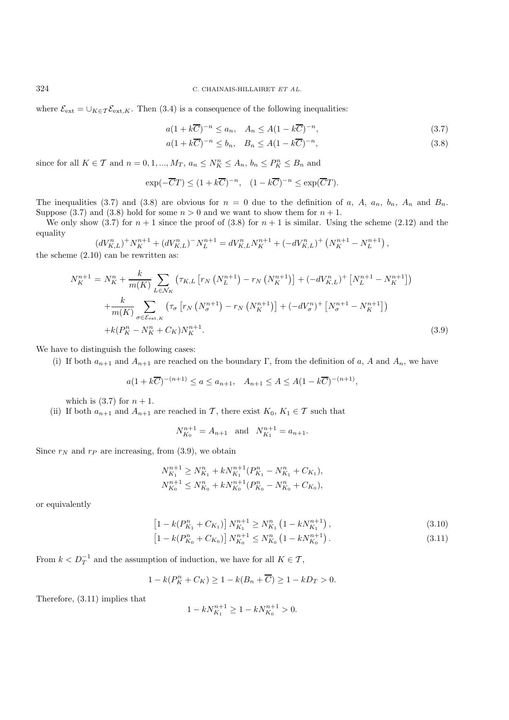where  $\mathcal{E}_{ext} = \bigcup_{K \in \mathcal{T}} \mathcal{E}_{ext,K}$ . Then (3.4) is a consequence of the following inequalities:

$$
a(1 + k\overline{C})^{-n} \le a_n, \quad A_n \le A(1 - k\overline{C})^{-n},\tag{3.7}
$$

$$
a(1 + k\overline{C})^{-n} \le b_n, \quad B_n \le A(1 - k\overline{C})^{-n},\tag{3.8}
$$

since for all  $K \in \mathcal{T}$  and  $n = 0, 1, ..., M_T$ ,  $a_n \le N_K^n \le A_n$ ,  $b_n \le P_K^n \le B_n$  and

$$
\exp(-\overline{C}T) \le (1 + k\overline{C})^{-n}, \quad (1 - k\overline{C})^{-n} \le \exp(\overline{C}T).
$$

The inequalities (3.7) and (3.8) are obvious for  $n = 0$  due to the definition of a, A,  $a_n$ ,  $b_n$ , A<sub>n</sub> and B<sub>n</sub>. Suppose (3.7) and (3.8) hold for some  $n > 0$  and we want to show them for  $n + 1$ .

We only show (3.7) for  $n + 1$  since the proof of (3.8) for  $n + 1$  is similar. Using the scheme (2.12) and the equality

$$
(dV_{K,L}^n)^+N_K^{n+1} + (dV_{K,L}^n)^-N_L^{n+1} = dV_{K,L}^n N_K^{n+1} + (-dV_{K,L}^n)^+ (N_K^{n+1} - N_L^{n+1}),
$$
  
2.10) can be rewritten as:

the scheme  $(2.10)$  can be rewritten as:

$$
N_K^{n+1} = N_K^n + \frac{k}{m(K)} \sum_{L \in \mathcal{N}_K} \left( \tau_{K,L} \left[ r_N \left( N_L^{n+1} \right) - r_N \left( N_K^{n+1} \right) \right] + (-dV_{K,L}^n)^+ \left[ N_L^{n+1} - N_K^{n+1} \right] \right) + \frac{k}{m(K)} \sum_{\sigma \in \mathcal{E}_{\text{ext},K}} \left( \tau_{\sigma} \left[ r_N \left( N_{\sigma}^{n+1} \right) - r_N \left( N_K^{n+1} \right) \right] + (-dV_{\sigma}^n)^+ \left[ N_{\sigma}^{n+1} - N_K^{n+1} \right] \right) + k(P_K^n - N_K^n + C_K) N_K^{n+1}.
$$
\n(3.9)

We have to distinguish the following cases:

(i) If both  $a_{n+1}$  and  $A_{n+1}$  are reached on the boundary Γ, from the definition of a, A and  $A_n$ , we have

$$
a(1 + k\overline{C})^{-(n+1)} \le a \le a_{n+1}, \quad A_{n+1} \le A \le A(1 - k\overline{C})^{-(n+1)},
$$

which is  $(3.7)$  for  $n + 1$ .

(ii) If both  $a_{n+1}$  and  $A_{n+1}$  are reached in T, there exist  $K_0, K_1 \in T$  such that

$$
N_{K_0}^{n+1} = A_{n+1} \text{ and } N_{K_1}^{n+1} = a_{n+1}.
$$

Since  $r_N$  and  $r_P$  are increasing, from (3.9), we obtain

$$
N_{K_1}^{n+1} \ge N_{K_1}^n + k N_{K_1}^{n+1} (P_{K_1}^n - N_{K_1}^n + C_{K_1}),
$$
  

$$
N_{K_0}^{n+1} \le N_{K_0}^n + k N_{K_0}^{n+1} (P_{K_0}^n - N_{K_0}^n + C_{K_0}),
$$

or equivalently

$$
\left[1 - k(P_{K_1}^n + C_{K_1})\right] N_{K_1}^{n+1} \ge N_{K_1}^n \left(1 - k N_{K_1}^{n+1}\right),\tag{3.10}
$$

$$
\left[1 - k(P_{K_0}^n + C_{K_0})\right] N_{K_0}^{n+1} \le N_{K_0}^n \left(1 - k N_{K_0}^{n+1}\right). \tag{3.11}
$$

From  $k < D_T^{-1}$  and the assumption of induction, we have for all  $K \in \mathcal{T}$ ,

$$
1 - k(P_K^n + C_K) \ge 1 - k(B_n + \overline{C}) \ge 1 - kD_T > 0.
$$

Therefore, (3.11) implies that

$$
1 - kN_{K_1}^{n+1} \ge 1 - kN_{K_0}^{n+1} > 0.
$$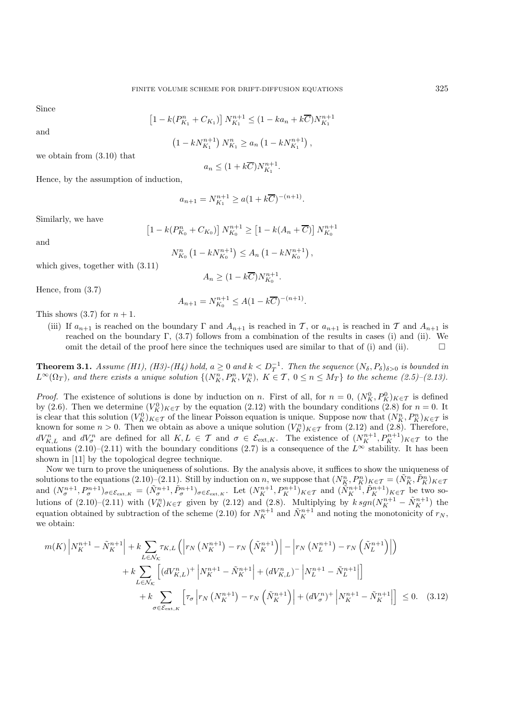Since

$$
\left[1 - k(P_{K_1}^n + C_{K_1})\right] N_{K_1}^{n+1} \le (1 - ka_n + k\overline{C})N_{K_1}^{n+1}
$$

and

$$
(1 - kN_{K_1}^{n+1}) N_{K_1}^n \ge a_n (1 - kN_{K_1}^{n+1}),
$$

we obtain from (3.10) that

$$
a_n \le (1 + k\overline{C})N_{K_1}^{n+1}.
$$

Hence, by the assumption of induction,

ſ

N<sup>n</sup>

$$
a_{n+1} = N_{K_1}^{n+1} \ge a(1 + k\overline{C})^{-(n+1)}.
$$

Similarly, we have

$$
1 - k(P_{K_0}^n + C_{K_0}) \big] N_{K_0}^{n+1} \ge \left[ 1 - k(A_n + \overline{C}) \right] N_{K_0}^{n+1}
$$

and

$$
V_{K_0}^n \left(1 - k N_{K_0}^{n+1}\right) \leq A_n \left(1 - k N_{K_0}^{n+1}\right),
$$

which gives, together with (3.11)

$$
A_n \ge (1 - k\overline{C})N_{K_0}^{n+1}.
$$

Hence, from (3.7)

$$
A_{n+1} = N_{K_0}^{n+1} \le A(1 - k\overline{C})^{-(n+1)}.
$$

This shows  $(3.7)$  for  $n + 1$ .

(iii) If  $a_{n+1}$  is reached on the boundary  $\Gamma$  and  $A_{n+1}$  is reached in  $\mathcal T$ , or  $a_{n+1}$  is reached in  $\mathcal T$  and  $A_{n+1}$  is reached on the boundary Γ,  $(3.7)$  follows from a combination of the results in cases (i) and (ii). We omit the detail of the proof here since the techniques used are similar to that of (i) and (ii).  $\Box$ 

**Theorem 3.1.** *Assume* (*H1*), (*H3*)-(*H4*) *hold,*  $a \geq 0$  *and*  $k < D_T^{-1}$ . *Then the sequence*  $(N_\delta, P_\delta)_{\delta > 0}$  *is bounded in*  $L^{\infty}(\Omega_T)$ , and there exists a unique solution  $\{(N_K^n, P_K^n, V_K^n), K \in \mathcal{T}, 0 \le n \le M_T\}$  to the scheme  $(2.5)-(2.13)$ .

*Proof.* The existence of solutions is done by induction on n. First of all, for  $n = 0$ ,  $(N_K^0, P_K^0)_{K \in \mathcal{T}}$  is defined by (2.6). Then we determine  $(V_K^0)_{K\in\mathcal{T}}$  by the equation (2.12) with the boundary conditions (2.8) for  $n=0$ . It is clear that this solution  $(V_K^0)_{K\in\mathcal{T}}$  of the linear Poisson equation is unique. Suppose now that  $(N_K^n, P_K^n)_{K\in\mathcal{T}}$  is known for some  $n > 0$ . Then we obtain as above a unique solution  $(V_K^n)_{K \in \mathcal{T}}$  from (2.12) and (2.8). Therefore,  $dV_{K,L}^n$  and  $dV_{\sigma}^n$  are defined for all  $K, L \in \mathcal{T}$  and  $\sigma \in \mathcal{E}_{ext,K}$ . The existence of  $(N_K^{n+1}, P_K^{n+1})_{K \in \mathcal{T}}$  to the equations  $(2.10)–(2.11)$  with the boundary conditions  $(2.7)$  is a consequence of the  $L^{\infty}$  stability. It has been shown in [11] by the topological degree technique.

Now we turn to prove the uniqueness of solutions. By the analysis above, it suffices to show the uniqueness of solutions to the equations  $(2.10)$ – $(2.11)$ . Still by induction on n, we suppose that  $(N_K^n, P_K^n)_{K \in \mathcal{T}} = (\tilde{N}_K^n, \tilde{P}_K^n)_{K \in \mathcal{T}}$ and  $(N_{\sigma}^{n+1}, P_{\sigma}^{n+1})_{\sigma \in \mathcal{E}_{ext,K}} = (\tilde{N}_{\sigma}^{n+1}, \tilde{P}_{\sigma}^{n+1})_{\sigma \in \mathcal{E}_{ext,K}}$ . Let  $(N_K^{n+1}, P_K^{n+1})_{K \in \mathcal{T}}$  and  $(\tilde{N}_K^{n+1}, \tilde{P}_K^{n+1})_{K \in \mathcal{T}}$  be two solutions of  $(2.10)-(2.11)$  with  $(V_K^n)_{K\in\mathcal{T}}$  given by  $(2.12)$  and  $(2.8)$ . Multiplying by  $k \, sgn(N_K^{n+1} - \tilde{N}_K^{n+1})$  the equation obtained by subtraction of the scheme (2.10) for  $N_K^{n+1}$  and  $\tilde{N}_K^{n+1}$  and noting the monotonicity of  $r_N$ , we obtain:

$$
m(K) \left| N_K^{n+1} - \tilde{N}_K^{n+1} \right| + k \sum_{L \in \mathcal{N}_K} \tau_{K,L} \left( \left| r_N \left( N_K^{n+1} \right) - r_N \left( \tilde{N}_K^{n+1} \right) \right| - \left| r_N \left( N_L^{n+1} \right) - r_N \left( \tilde{N}_L^{n+1} \right) \right| \right) + k \sum_{L \in \mathcal{N}_K} \left[ \left( dV_{K,L}^n \right)^+ \left| N_K^{n+1} - \tilde{N}_K^{n+1} \right| + \left( dV_{K,L}^n \right)^- \left| N_L^{n+1} - \tilde{N}_L^{n+1} \right| \right] + k \sum_{\sigma \in \mathcal{E}_{\text{ext},K}} \left[ \tau_{\sigma} \left| r_N \left( N_K^{n+1} \right) - r_N \left( \tilde{N}_K^{n+1} \right) \right| + \left( dV_{\sigma}^n \right)^+ \left| N_K^{n+1} - \tilde{N}_K^{n+1} \right| \right] \le 0. \tag{3.12}
$$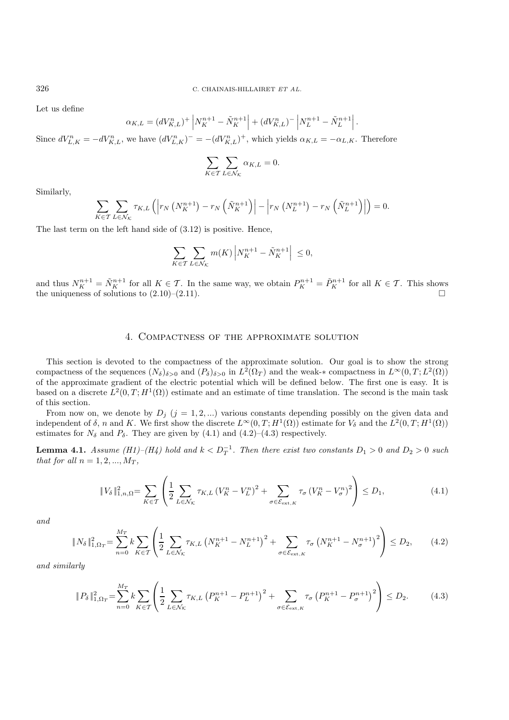Let us define

$$
\alpha_{K,L} = (dV_{K,L}^n)^+ \left| N_K^{n+1} - \tilde{N}_K^{n+1} \right| + (dV_{K,L}^n)^- \left| N_L^{n+1} - \tilde{N}_L^{n+1} \right|.
$$

Since  $dV_{L,K}^n = -dV_{K,L}^n$ , we have  $(dV_{L,K}^n)^- = -(dV_{K,L}^n)^+$ , which yields  $\alpha_{K,L} = -\alpha_{L,K}$ . Therefore

$$
\sum_{K \in \mathcal{T}} \sum_{L \in \mathcal{N}_{\mathcal{K}}} \alpha_{K,L} = 0.
$$

Similarly,

$$
\sum_{K\in\mathcal{T}}\sum_{L\in\mathcal{N}_{K}}\tau_{K,L}\left(\left|r_{N}\left(N_{K}^{n+1}\right)-r_{N}\left(\tilde{N}_{K}^{n+1}\right)\right|-\left|r_{N}\left(N_{L}^{n+1}\right)-r_{N}\left(\tilde{N}_{L}^{n+1}\right)\right|\right)=0.
$$

The last term on the left hand side of (3.12) is positive. Hence,

$$
\sum_{K \in \mathcal{T}} \sum_{L \in \mathcal{N}_K} m(K) \left| N_K^{n+1} - \tilde{N}_K^{n+1} \right| \le 0,
$$

and thus  $N_K^{n+1} = \tilde{N}_K^{n+1}$  for all  $K \in \mathcal{T}$ . In the same way, we obtain  $P_K^{n+1} = \tilde{P}_K^{n+1}$  for all  $K \in \mathcal{T}$ . This shows the uniqueness of solutions to  $(2.10)$ – $(2.11)$ .

## 4. Compactness of the approximate solution

This section is devoted to the compactness of the approximate solution. Our goal is to show the strong compactness of the sequences  $(N_{\delta})_{\delta>0}$  and  $(P_{\delta})_{\delta>0}$  in  $L^2(\Omega_T)$  and the weak- $*$  compactness in  $L^{\infty}(0,T;L^2(\Omega))$ of the approximate gradient of the electric potential which will be defined below. The first one is easy. It is based on a discrete  $L^2(0,T;H^1(\Omega))$  estimate and an estimate of time translation. The second is the main task of this section.

From now on, we denote by  $D_j$  (j = 1, 2, ...) various constants depending possibly on the given data and independent of  $\delta$ , n and K. We first show the discrete  $L^{\infty}(0,T; H^{1}(\Omega))$  estimate for  $V_{\delta}$  and the  $L^{2}(0,T; H^{1}(\Omega))$ estimates for  $N_{\delta}$  and  $P_{\delta}$ . They are given by (4.1) and (4.2)–(4.3) respectively.

**Lemma 4.1.** *Assume* (H1)–(H4) hold and  $k < D_T^{-1}$ . Then there exist two constants  $D_1 > 0$  and  $D_2 > 0$  such *that for all*  $n = 1, 2, ..., M_T$ ,

$$
\|V_{\delta}\|_{1,n,\Omega}^{2} = \sum_{K\in\mathcal{T}} \left( \frac{1}{2} \sum_{L\in\mathcal{N}_{\mathcal{K}}} \tau_{K,L} \left( V_{K}^{n} - V_{L}^{n} \right)^{2} + \sum_{\sigma\in\mathcal{E}_{\text{ext},K}} \tau_{\sigma} \left( V_{K}^{n} - V_{\sigma}^{n} \right)^{2} \right) \leq D_{1},\tag{4.1}
$$

*and*

$$
\|N_{\delta}\|_{1,\Omega_{T}}^{2} = \sum_{n=0}^{M_{T}} k \sum_{K \in \mathcal{T}} \left( \frac{1}{2} \sum_{L \in \mathcal{N}_{\mathcal{K}}} \tau_{K,L} \left( N_{K}^{n+1} - N_{L}^{n+1} \right)^{2} + \sum_{\sigma \in \mathcal{E}_{\text{ext},K}} \tau_{\sigma} \left( N_{K}^{n+1} - N_{\sigma}^{n+1} \right)^{2} \right) \le D_{2},\tag{4.2}
$$

*and similarly*

$$
\|P_{\delta}\|_{1,\Omega_T}^2 = \sum_{n=0}^{M_T} k \sum_{K \in \mathcal{T}} \left( \frac{1}{2} \sum_{L \in \mathcal{N}_K} \tau_{K,L} \left( P_K^{n+1} - P_L^{n+1} \right)^2 + \sum_{\sigma \in \mathcal{E}_{\text{ext},K}} \tau_{\sigma} \left( P_K^{n+1} - P_{\sigma}^{n+1} \right)^2 \right) \le D_2. \tag{4.3}
$$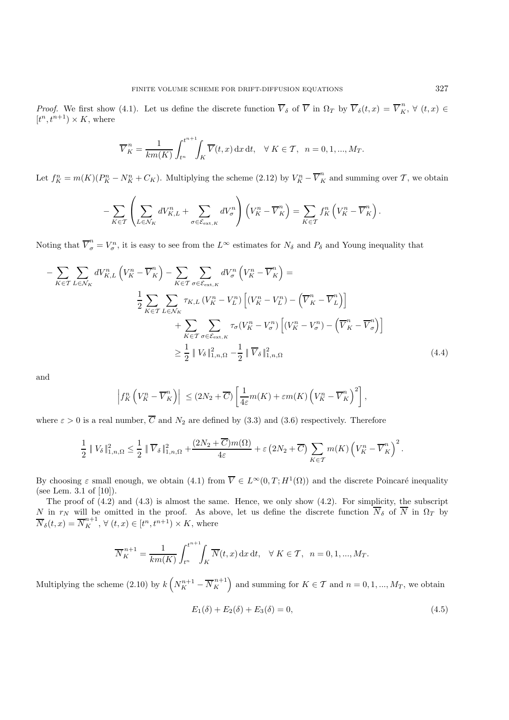*Proof.* We first show (4.1). Let us define the discrete function  $\overline{V}_{\delta}$  of  $\overline{V}$  in  $\Omega_T$  by  $\overline{V}_{\delta}(t,x) = \overline{V}_K^n$ ,  $\forall$   $(t,x) \in$  $[t^n, t^{n+1}) \times K$ , where

$$
\overline{V}_K^n = \frac{1}{km(K)} \int_{t^n}^{t^{n+1}} \int_K \overline{V}(t, x) \, dx \, dt, \quad \forall \ K \in \mathcal{T}, \ n = 0, 1, ..., M_T.
$$

Let  $f_K^n = m(K)(P_K^n - N_K^n + C_K)$ . Multiplying the scheme (2.12) by  $V_K^n - \overline{V}_K^n$  and summing over T, we obtain

$$
-\sum_{K\in\mathcal{T}}\left(\sum_{L\in\mathcal{N}_K}dV_{K,L}^n+\sum_{\sigma\in\mathcal{E}_{\text{ext},K}}dV_{\sigma}^n\right)\left(V_K^n-\overline{V}_K^n\right)=\sum_{K\in\mathcal{T}}f_K^n\left(V_K^n-\overline{V}_K^n\right).
$$

Noting that  $\overline{V}_{\sigma}^{n} = V_{\sigma}^{n}$ , it is easy to see from the  $L^{\infty}$  estimates for  $N_{\delta}$  and  $P_{\delta}$  and Young inequality that

$$
-\sum_{K\in\mathcal{T}}\sum_{L\in\mathcal{N}_{K}}dV_{K,L}^{n}\left(V_{K}^{n}-\overline{V}_{K}^{n}\right)-\sum_{K\in\mathcal{T}}\sum_{\sigma\in\mathcal{E}_{\text{ext},K}}dV_{\sigma}^{n}\left(V_{K}^{n}-\overline{V}_{K}^{n}\right)=
$$
\n
$$
\frac{1}{2}\sum_{K\in\mathcal{T}}\sum_{L\in\mathcal{N}_{K}}\tau_{K,L}\left(V_{K}^{n}-V_{L}^{n}\right)\left[\left(V_{K}^{n}-V_{L}^{n}\right)-\left(\overline{V}_{K}^{n}-\overline{V}_{L}^{n}\right)\right]
$$
\n
$$
+\sum_{K\in\mathcal{T}}\sum_{\sigma\in\mathcal{E}_{\text{ext},K}}\tau_{\sigma}\left(V_{K}^{n}-V_{\sigma}^{n}\right)\left[\left(V_{K}^{n}-V_{\sigma}^{n}\right)-\left(\overline{V}_{K}^{n}-\overline{V}_{\sigma}^{n}\right)\right]
$$
\n
$$
\geq\frac{1}{2}\|V_{\delta}\|_{1,n,\Omega}^{2}-\frac{1}{2}\|\overline{V}_{\delta}\|_{1,n,\Omega}^{2}
$$
\n(4.4)

and

$$
\left| f_K^n \left( V_K^n - \overline{V}_K^n \right) \right| \leq (2N_2 + \overline{C}) \left[ \frac{1}{4\varepsilon} m(K) + \varepsilon m(K) \left( V_K^n - \overline{V}_K^n \right)^2 \right],
$$

where  $\varepsilon > 0$  is a real number,  $\overline{C}$  and  $N_2$  are defined by (3.3) and (3.6) respectively. Therefore

$$
\frac{1}{2} \parallel V_{\delta} \parallel_{1,n,\Omega}^2 \leq \frac{1}{2} \parallel \overline{V}_{\delta} \parallel_{1,n,\Omega}^2 + \frac{(2N_2 + \overline{C})m(\Omega)}{4\varepsilon} + \varepsilon (2N_2 + \overline{C}) \sum_{K \in \mathcal{T}} m(K) \left(V_K^n - \overline{V}_K^n\right)^2.
$$

By choosing  $\varepsilon$  small enough, we obtain (4.1) from  $\overline{V} \in L^{\infty}(0,T;H^{1}(\Omega))$  and the discrete Poincaré inequality (see Lem. 3.1 of [10]).

The proof of  $(4.2)$  and  $(4.3)$  is almost the same. Hence, we only show  $(4.2)$ . For simplicity, the subscript N in  $r_N$  will be omitted in the proof. As above, let us define the discrete function  $N_\delta$  of N in  $\Omega_T$  by  $\overline{N}_{\delta}(t,x) = \overline{N}_{K}^{n+1}, \forall (t,x) \in [t^{n}, t^{n+1}) \times K,$  where

$$
\overline{N}_{K}^{n+1} = \frac{1}{km(K)} \int_{t^{n}}^{t^{n+1}} \int_{K} \overline{N}(t, x) \, dx \, dt, \quad \forall \ K \in \mathcal{T}, \ n = 0, 1, ..., M_{T}.
$$

Multiplying the scheme (2.10) by  $k\left(N_K^{n+1} - \overline{N}_K^{n+1}\right)$  and summing for  $K \in \mathcal{T}$  and  $n = 0, 1, ..., M_T$ , we obtain

$$
E_1(\delta) + E_2(\delta) + E_3(\delta) = 0,\t\t(4.5)
$$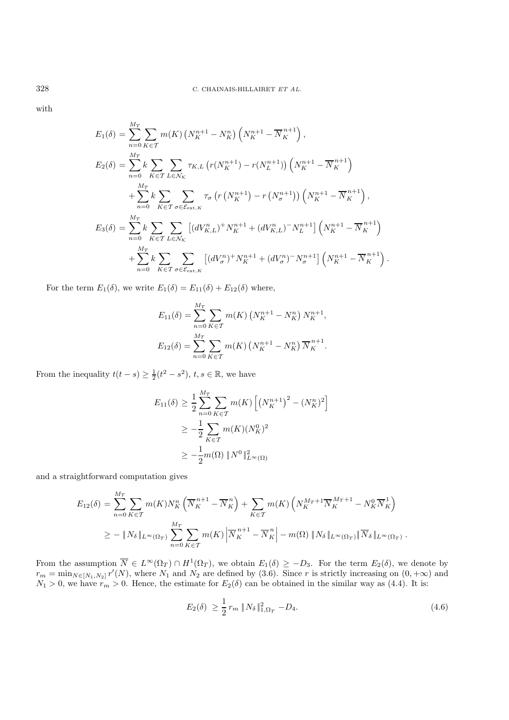with

$$
E_1(\delta) = \sum_{n=0}^{M_T} \sum_{K \in \mathcal{T}} m(K) \left( N_K^{n+1} - N_K^n \right) \left( N_K^{n+1} - \overline{N}_K^{n+1} \right),
$$
  
\n
$$
E_2(\delta) = \sum_{n=0}^{M_T} k \sum_{K \in \mathcal{T}} \sum_{L \in \mathcal{N}_K} \tau_{K,L} \left( r(N_K^{n+1}) - r(N_L^{n+1}) \right) \left( N_K^{n+1} - \overline{N}_K^{n+1} \right)
$$
  
\n
$$
+ \sum_{n=0}^{M_T} k \sum_{K \in \mathcal{T}} \sum_{\sigma \in \mathcal{E}_{\text{ext},K}} \tau_{\sigma} \left( r \left( N_K^{n+1} \right) - r \left( N_{\sigma}^{n+1} \right) \right) \left( N_K^{n+1} - \overline{N}_K^{n+1} \right),
$$
  
\n
$$
E_3(\delta) = \sum_{n=0}^{M_T} k \sum_{K \in \mathcal{T}} \sum_{L \in \mathcal{N}_K} \left[ \left( dV_{K,L}^n \right)^+ N_K^{n+1} + \left( dV_{K,L}^n \right)^- N_L^{n+1} \right] \left( N_K^{n+1} - \overline{N}_K^{n+1} \right)
$$
  
\n
$$
+ \sum_{n=0}^{M_T} k \sum_{K \in \mathcal{T}} \sum_{\sigma \in \mathcal{E}_{\text{ext},K}} \left[ \left( dV_{\sigma}^n \right)^+ N_K^{n+1} + \left( dV_{\sigma}^n \right)^- N_{\sigma}^{n+1} \right) \left( N_K^{n+1} - \overline{N}_K^{n+1} \right).
$$

For the term  $E_1(\delta)$ , we write  $E_1(\delta) = E_{11}(\delta) + E_{12}(\delta)$  where,

$$
E_{11}(\delta) = \sum_{n=0}^{M_T} \sum_{K \in \mathcal{T}} m(K) \left( N_K^{n+1} - N_K^n \right) N_K^{n+1},
$$
  

$$
E_{12}(\delta) = \sum_{n=0}^{M_T} \sum_{K \in \mathcal{T}} m(K) \left( N_K^{n+1} - N_K^n \right) \overline{N}_K^{n+1}.
$$

From the inequality  $t(t-s) \geq \frac{1}{2}(t^2-s^2)$ ,  $t, s \in \mathbb{R}$ , we have

$$
E_{11}(\delta) \ge \frac{1}{2} \sum_{n=0}^{M_T} \sum_{K \in \mathcal{T}} m(K) \left[ \left( N_K^{n+1} \right)^2 - \left( N_K^n \right)^2 \right] \\
\ge -\frac{1}{2} \sum_{K \in \mathcal{T}} m(K) \left( N_K^0 \right)^2 \\
\ge -\frac{1}{2} m(\Omega) \| N^0 \|_{L^\infty(\Omega)}^2
$$

and a straightforward computation gives

$$
E_{12}(\delta) = \sum_{n=0}^{M_T} \sum_{K \in \mathcal{T}} m(K) N_K^n \left( \overline{N}_K^{n+1} - \overline{N}_K^n \right) + \sum_{K \in \mathcal{T}} m(K) \left( N_K^{M_T+1} \overline{N}_K^{M_T+1} - N_K^0 \overline{N}_K^1 \right)
$$
  

$$
\geq - \left\| N_\delta \right\|_{L^\infty(\Omega_T)} \sum_{n=0}^{M_T} \sum_{K \in \mathcal{T}} m(K) \left| \overline{N}_K^{n+1} - \overline{N}_K^n \right| - m(\Omega) \left\| N_\delta \right\|_{L^\infty(\Omega_T)} \left\| \overline{N}_\delta \right\|_{L^\infty(\Omega_T)}.
$$

From the assumption  $\overline{N} \in L^{\infty}(\Omega_T) \cap H^1(\Omega_T)$ , we obtain  $E_1(\delta) \geq -D_3$ . For the term  $E_2(\delta)$ , we denote by  $r_m = \min_{N \in [N_1, N_2]} r'(N)$ , where  $N_1$  and  $N_2$  are defined by (3.6). Since r is strictly increasing on  $(0, +\infty)$  and  $N_1 > 0$ , we have  $r_m > 0$ . Hence, the estimate for  $E_2(\delta)$  can be obtained in the similar way as (4.4). It is:

$$
E_2(\delta) \ge \frac{1}{2} r_m \| N_\delta \|_{1, \Omega_T}^2 - D_4. \tag{4.6}
$$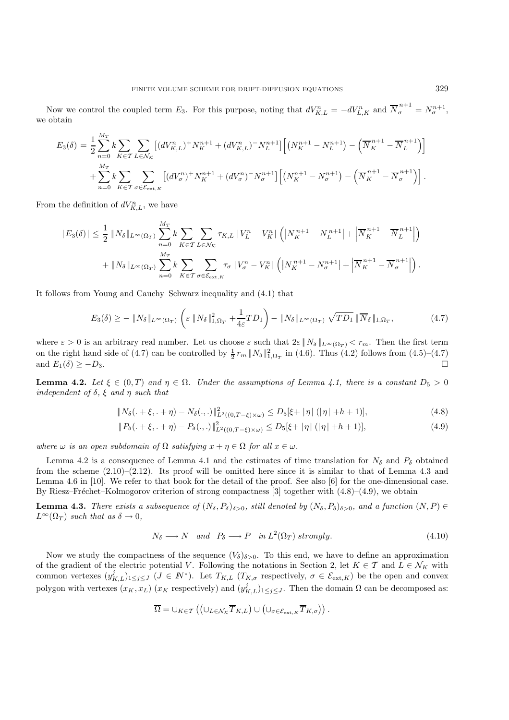Now we control the coupled term  $E_3$ . For this purpose, noting that  $dV_{K,L}^n = -dV_{L,K}^n$  and  $\overline{N}_{\sigma}^{n+1} = N_{\sigma}^{n+1}$ , we obtain

$$
E_3(\delta) = \frac{1}{2} \sum_{n=0}^{M_T} k \sum_{K \in \mathcal{T}} \sum_{L \in \mathcal{N}_K} \left[ (dV_{K,L}^n)^+ N_K^{n+1} + (dV_{K,L}^n)^- N_L^{n+1} \right] \left[ \left( N_K^{n+1} - N_L^{n+1} \right) - \left( \overline{N}_K^{n+1} - \overline{N}_L^{n+1} \right) \right] + \sum_{n=0}^{M_T} k \sum_{K \in \mathcal{T}} \sum_{\sigma \in \mathcal{E}_{\text{ext},K}} \left[ (dV_{\sigma}^n)^+ N_K^{n+1} + (dV_{\sigma}^n)^- N_{\sigma}^{n+1} \right] \left[ \left( N_K^{n+1} - N_{\sigma}^{n+1} \right) - \left( \overline{N}_K^{n+1} - \overline{N}_{\sigma}^{n+1} \right) \right].
$$

From the definition of  $dV_{K,L}^n$ , we have

$$
|E_3(\delta)| \leq \frac{1}{2} \left\| N_\delta \right\|_{L^\infty(\Omega_T)} \sum_{n=0}^{M_T} k \sum_{K \in \mathcal{T}} \sum_{L \in \mathcal{N}_K} \tau_{K,L} \left| V_L^n - V_K^n \right| \left( \left| N_K^{n+1} - N_L^{n+1} \right| + \left| \overline{N}_K^{n+1} - \overline{N}_L^{n+1} \right| \right) + \|N_\delta\|_{L^\infty(\Omega_T)} \sum_{n=0}^{M_T} k \sum_{K \in \mathcal{T}} \sum_{\sigma \in \mathcal{E}_{\text{ext},K}} \tau_\sigma \left| V_\sigma^n - V_K^n \right| \left( \left| N_K^{n+1} - N_\sigma^{n+1} \right| + \left| \overline{N}_K^{n+1} - \overline{N}_\sigma^{n+1} \right| \right).
$$

It follows from Young and Cauchy–Schwarz inequality and (4.1) that

$$
E_3(\delta) \ge - \|N_\delta\|_{L^\infty(\Omega_T)} \left( \varepsilon \|N_\delta\|_{1,\Omega_T}^2 + \frac{1}{4\varepsilon} T D_1 \right) - \|N_\delta\|_{L^\infty(\Omega_T)} \sqrt{T D_1} \|\overline{N}_\delta\|_{1,\Omega_T},\tag{4.7}
$$

where  $\varepsilon > 0$  is an arbitrary real number. Let us choose  $\varepsilon$  such that  $2\varepsilon \|N_\delta\|_{L^\infty(\Omega_T)} < r_m$ . Then the first term on the right hand side of (4.7) can be controlled by  $\frac{1}{2}r_m||N_\delta||^2_{1,\Omega_T}$  in (4.6). Thus (4.2) follows from (4.5)–(4.7) and  $E_1(\delta) \ge -D_3$ .

**Lemma 4.2.** *Let*  $\xi \in (0,T)$  *and*  $\eta \in \Omega$ *. Under the assumptions of Lemma 4.1, there is a constant*  $D_5 > 0$ *independent of* δ*,* ξ *and* η *such that*

$$
||N_{\delta}(.+\xi,.+\eta)-N_{\delta}(.,.)||_{L^{2}((0,T-\xi)\times\omega)}^{2}\leq D_{5}[\xi+|\eta|(|\eta|+h+1)],
$$
\n(4.8)

$$
\|P_{\delta}(.\ + \xi,.\ + \eta) - P_{\delta}(.,.)\|_{L^2((0,T-\xi)\times\omega)}^2 \le D_5[\xi + |\eta| (|\eta| + h + 1)],\tag{4.9}
$$

*where*  $\omega$  *is an open subdomain of*  $\Omega$  *satisfying*  $x + \eta \in \Omega$  *for all*  $x \in \omega$ *.* 

Lemma 4.2 is a consequence of Lemma 4.1 and the estimates of time translation for  $N_{\delta}$  and  $P_{\delta}$  obtained from the scheme (2.10)–(2.12). Its proof will be omitted here since it is similar to that of Lemma 4.3 and Lemma 4.6 in [10]. We refer to that book for the detail of the proof. See also [6] for the one-dimensional case. By Riesz–Fréchet–Kolmogorov criterion of strong compactness [3] together with  $(4.8)$ – $(4.9)$ , we obtain

**Lemma 4.3.** *There exists a subsequence of*  $(N_{\delta}, P_{\delta})_{\delta > 0}$ *, still denoted by*  $(N_{\delta}, P_{\delta})_{\delta > 0}$ *, and a function*  $(N, P) \in$  $L^{\infty}(\Omega_T)$  *such that as*  $\delta \to 0$ *,* 

$$
N_{\delta} \longrightarrow N \quad and \quad P_{\delta} \longrightarrow P \quad in \ L^{2}(\Omega_{T}) \ strongly.
$$
\n(4.10)

Now we study the compactness of the sequence  $(V_{\delta})_{\delta>0}$ . To this end, we have to define an approximation of the gradient of the electric potential V. Following the notations in Section 2, let  $K \in \mathcal{T}$  and  $L \in \mathcal{N}_K$  with common vertexes  $(y_{K,L}^j)_{1 \leq j \leq J}$   $(J \in I\!\!N^*)$ . Let  $T_{K,L}$   $(T_{K,\sigma}$  respectively,  $\sigma \in \mathcal{E}_{ext,K}$  be the open and convex polygon with vertexes  $(x_K, x_L)$   $(x_K$  respectively) and  $(y_{K,L}^j)_{1 \leq j \leq J}$ . Then the domain  $\Omega$  can be decomposed as:

$$
\overline{\Omega} = \cup_{K \in \mathcal{T}} \left( \left( \cup_{L \in \mathcal{N}_{\mathcal{K}}} \overline{T}_{K,L} \right) \cup \left( \cup_{\sigma \in \mathcal{E}_{\text{ext},K}} \overline{T}_{K,\sigma} \right) \right).
$$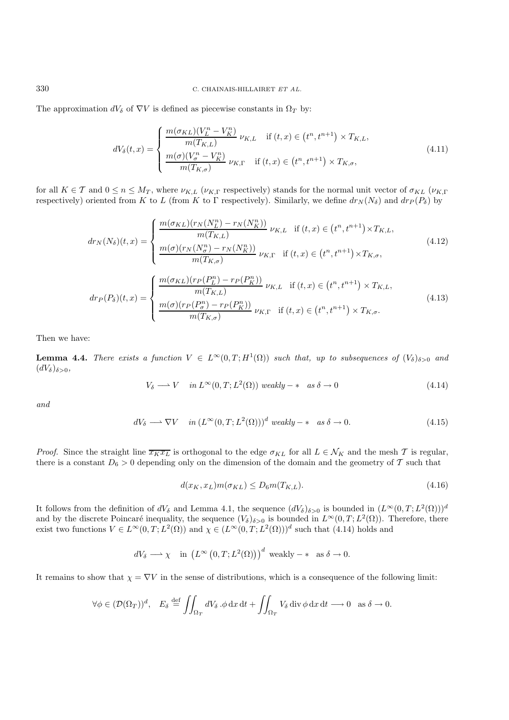The approximation  $dV_{\delta}$  of  $\nabla V$  is defined as piecewise constants in  $\Omega_T$  by:

$$
dV_{\delta}(t,x) = \begin{cases} \frac{m(\sigma_{KL})(V_L^n - V_K^n)}{m(T_{K,L})} \nu_{K,L} & \text{if } (t,x) \in (t^n, t^{n+1}) \times T_{K,L},\\ \frac{m(\sigma)(V_{\sigma}^n - V_K^n)}{m(T_{K,\sigma})} \nu_{K,\Gamma} & \text{if } (t,x) \in (t^n, t^{n+1}) \times T_{K,\sigma}, \end{cases}
$$
(4.11)

for all  $K \in \mathcal{T}$  and  $0 \leq n \leq M_T$ , where  $\nu_{K,L}$  ( $\nu_{K,\Gamma}$  respectively) stands for the normal unit vector of  $\sigma_{KL}$  ( $\nu_{K,\Gamma}$ respectively) oriented from K to L (from K to  $\Gamma$  respectively). Similarly, we define  $dr_N(N_\delta)$  and  $dr_P(P_\delta)$  by

$$
dr_N(N_\delta)(t,x) = \begin{cases} \frac{m(\sigma_{KL})(r_N(N_L^n) - r_N(N_K^n))}{m(T_{K,L})} \nu_{K,L} & \text{if } (t,x) \in (t^n, t^{n+1}) \times T_{K,L},\\ \frac{m(\sigma)(r_N(N_\sigma^n) - r_N(N_K^n))}{m(T_{K,\sigma})} \nu_{K,\Gamma} & \text{if } (t,x) \in (t^n, t^{n+1}) \times T_{K,\sigma},\\ \frac{m(\sigma_{KL})(r_P(P_L^n) - r_P(P_K^n))}{m(T_{K,L})} \nu_{K,L} & \text{if } (t,x) \in (t^n, t^{n+1}) \times T_{K,L},\\ \frac{m(\sigma)(r_P(P_\sigma^n) - r_P(P_K^n))}{m(T_{K,\sigma})} \nu_{K,\Gamma} & \text{if } (t,x) \in (t^n, t^{n+1}) \times T_{K,\sigma}. \end{cases}
$$
\n
$$
(4.13)
$$

Then we have:

**Lemma 4.4.** *There exists a function*  $V \in L^{\infty}(0,T;H^{1}(\Omega))$  *such that, up to subsequences of*  $(V_{\delta})_{\delta>0}$  *and*  $(dV_\delta)_{\delta>0},$ 

$$
V_{\delta} \longrightarrow V \quad in \ L^{\infty}(0,T; L^{2}(\Omega)) \ weakly - * \ as \ \delta \to 0 \tag{4.14}
$$

*and*

$$
dV_{\delta} \longrightarrow \nabla V \quad in \left( L^{\infty}(0, T; L^{2}(\Omega)) \right)^{d} \text{ weakly}-* \quad as \ \delta \to 0. \tag{4.15}
$$

*Proof.* Since the straight line  $\overline{x_Kx_L}$  is orthogonal to the edge  $\sigma_{KL}$  for all  $L \in \mathcal{N}_K$  and the mesh  $\mathcal T$  is regular, there is a constant  $D_6 > 0$  depending only on the dimension of the domain and the geometry of T such that

$$
d(x_K, x_L)m(\sigma_{KL}) \le D_6 m(T_{K,L}).\tag{4.16}
$$

It follows from the definition of  $dV_\delta$  and Lemma 4.1, the sequence  $(dV_\delta)_{\delta>0}$  is bounded in  $(L^\infty(0,T;L^2(\Omega)))^d$ and by the discrete Poincaré inequality, the sequence  $(V_{\delta})_{\delta>0}$  is bounded in  $L^{\infty}(0,T;L^{2}(\Omega))$ . Therefore, there exist two functions  $V \in L^{\infty}(0,T;L^{2}(\Omega))$  and  $\chi \in (L^{\infty}(0,T;L^{2}(\Omega)))$  such that (4.14) holds and

$$
dV_{\delta} \longrightarrow \chi \quad \text{in} \ \left( L^{\infty} \left(0, T; L^{2}(\Omega) \right) \right)^{d} \text{ weakly } -\ast \quad \text{as } \delta \to 0.
$$

It remains to show that  $\chi = \nabla V$  in the sense of distributions, which is a consequence of the following limit:

$$
\forall \phi \in (\mathcal{D}(\Omega_T))^d, \quad E_{\delta} \stackrel{\text{def}}{=} \iint_{\Omega_T} dV_{\delta} \, d\sigma \, dx \, dt + \iint_{\Omega_T} V_{\delta} \, \text{div} \, \phi \, dx \, dt \longrightarrow 0 \quad \text{as } \delta \to 0.
$$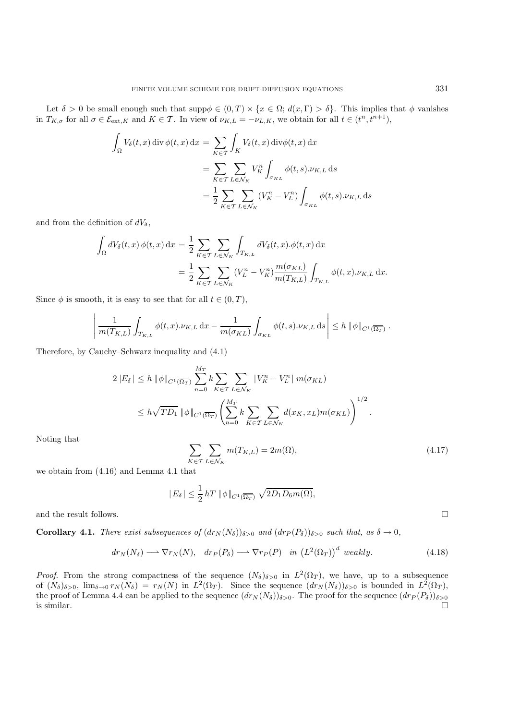Let  $\delta > 0$  be small enough such that  $\text{supp}\phi \in (0,T) \times \{x \in \Omega; d(x,\Gamma) > \delta\}.$  This implies that  $\phi$  vanishes in  $T_{K,\sigma}$  for all  $\sigma \in \mathcal{E}_{ext,K}$  and  $K \in \mathcal{T}$ . In view of  $\nu_{K,L} = -\nu_{L,K}$ , we obtain for all  $t \in (t^n, t^{n+1}),$ 

$$
\int_{\Omega} V_{\delta}(t, x) \operatorname{div} \phi(t, x) dx = \sum_{K \in \mathcal{T}} \int_{K} V_{\delta}(t, x) \operatorname{div} \phi(t, x) dx
$$

$$
= \sum_{K \in \mathcal{T}} \sum_{L \in \mathcal{N}_{K}} V_{K}^{n} \int_{\sigma_{KL}} \phi(t, s) . \nu_{K, L} ds
$$

$$
= \frac{1}{2} \sum_{K \in \mathcal{T}} \sum_{L \in \mathcal{N}_{K}} (V_{K}^{n} - V_{L}^{n}) \int_{\sigma_{KL}} \phi(t, s) . \nu_{K, L} ds
$$

and from the definition of  $dV_\delta$ ,

$$
\int_{\Omega} dV_{\delta}(t, x) \phi(t, x) dx = \frac{1}{2} \sum_{K \in \mathcal{T}} \sum_{L \in \mathcal{N}_K} \int_{T_{K, L}} dV_{\delta}(t, x) . \phi(t, x) dx
$$

$$
= \frac{1}{2} \sum_{K \in \mathcal{T}} \sum_{L \in \mathcal{N}_K} (V_L^n - V_K^n) \frac{m(\sigma_{KL})}{m(T_{K, L})} \int_{T_{K, L}} \phi(t, x) . \nu_{K, L} dx.
$$

Since  $\phi$  is smooth, it is easy to see that for all  $t \in (0, T)$ ,

$$
\left| \frac{1}{m(T_{K,L})} \int_{T_{K,L}} \phi(t,x) \cdot \nu_{K,L} \,dx - \frac{1}{m(\sigma_{KL})} \int_{\sigma_{KL}} \phi(t,s) \cdot \nu_{K,L} \,ds \right| \leq h \, \|\phi\|_{C^{1}(\overline{\Omega_{T}})}.
$$

Therefore, by Cauchy–Schwarz inequality and (4.1)

$$
2 |E_{\delta}| \leq h \|\phi\|_{C^{1}(\overline{\Omega_{T}})} \sum_{n=0}^{M_{T}} k \sum_{K \in \mathcal{T}} \sum_{L \in \mathcal{N}_{K}} |V_{K}^{n} - V_{L}^{n}| m(\sigma_{KL})
$$
  

$$
\leq h \sqrt{T D_{1}} \|\phi\|_{C^{1}(\overline{\Omega_{T}})} \left( \sum_{n=0}^{M_{T}} k \sum_{K \in \mathcal{T}} \sum_{L \in \mathcal{N}_{K}} d(x_{K}, x_{L}) m(\sigma_{KL}) \right)^{1/2}.
$$

Noting that

$$
\sum_{K \in \mathcal{T}} \sum_{L \in \mathcal{N}_K} m(T_{K,L}) = 2m(\Omega),\tag{4.17}
$$

we obtain from (4.16) and Lemma 4.1 that

$$
|E_{\delta}| \le \frac{1}{2} hT \|\phi\|_{C^1(\overline{\Omega_T})} \sqrt{2D_1D_6m(\Omega)},
$$

and the result follows.  $\hfill \square$ 

**Corollary 4.1.** *There exist subsequences of*  $(dr_N(N_\delta))_{\delta>0}$  *and*  $(dr_P(P_\delta))_{\delta>0}$  *such that, as*  $\delta \to 0$ *,* 

$$
dr_N(N_\delta) \longrightarrow \nabla r_N(N), \quad dr_P(P_\delta) \longrightarrow \nabla r_P(P) \quad \text{in} \left( L^2(\Omega_T) \right)^d \text{ weakly.}
$$
\n(4.18)

*Proof.* From the strong compactness of the sequence  $(N_{\delta})_{\delta>0}$  in  $L^2(\Omega_T)$ , we have, up to a subsequence of  $(N_\delta)_{\delta>0}$ ,  $\lim_{\delta\to 0} r_N(N_\delta) = r_N(N)$  in  $L^2(\Omega_T)$ . Since the sequence  $(d\gamma_N(N_\delta))_{\delta>0}$  is bounded in  $L^2(\Omega_T)$ , the proof of Lemma 4.4 can be applied to the sequence  $(dr_N(N_\delta))_{\delta>0}$ . The proof for the sequence  $(dr_P(P_\delta))_{\delta>0}$ is similar.  $\square$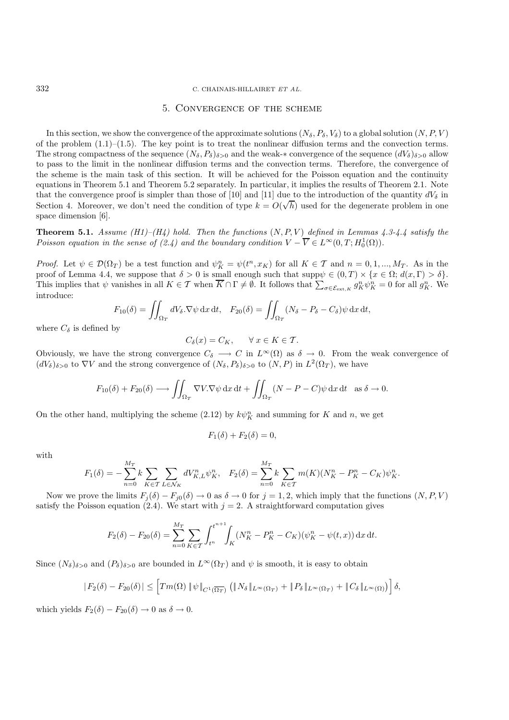#### 332 C. CHAINAIS-HILLAIRET *ET AL.*

### 5. Convergence of the scheme

In this section, we show the convergence of the approximate solutions  $(N_{\delta}, P_{\delta}, V_{\delta})$  to a global solution  $(N, P, V)$ of the problem  $(1.1)$ – $(1.5)$ . The key point is to treat the nonlinear diffusion terms and the convection terms. The strong compactness of the sequence  $(N_{\delta}, P_{\delta})_{\delta>0}$  and the weak-∗ convergence of the sequence  $(dV_{\delta})_{\delta>0}$  allow to pass to the limit in the nonlinear diffusion terms and the convection terms. Therefore, the convergence of the scheme is the main task of this section. It will be achieved for the Poisson equation and the continuity equations in Theorem 5.1 and Theorem 5.2 separately. In particular, it implies the results of Theorem 2.1. Note that the convergence proof is simpler than those of [10] and [11] due to the introduction of the quantity  $dV_\delta$  in Section 4. Moreover, we don't need the condition of type  $k = O(\sqrt{h})$  used for the degenerate problem in one space dimension [6].

**Theorem 5.1.** *Assume* (*H1*)–(*H4*) *hold. Then the functions*  $(N, P, V)$  *defined in Lemmas 4.3-4.4 satisfy the Poisson equation in the sense of (2.4) and the boundary condition*  $V - \overline{V} \in L^{\infty}(0,T; H_0^1(\Omega))$ *.* 

*Proof.* Let  $\psi \in \mathcal{D}(\Omega_T)$  be a test function and  $\psi_K^n = \psi(t^n, x_K)$  for all  $K \in \mathcal{T}$  and  $n = 0, 1, ..., M_T$ . As in the proof of Lemma 4.4, we suppose that  $\delta > 0$  is small enough such that  $\text{supp}\psi \in (0,T) \times \{x \in \Omega; d(x,\Gamma) > \delta\}.$ This implies that  $\psi$  vanishes in all  $K \in \mathcal{T}$  when  $\overline{K} \cap \Gamma \neq \emptyset$ . It follows that  $\sum_{\sigma \in \mathcal{E}_{ext,K}} g_K^n \psi_K^n = 0$  for all  $g_K^n$ . We introduce:

$$
F_{10}(\delta) = \iint_{\Omega_T} dV_{\delta}.\nabla \psi \, dx \, dt, \quad F_{20}(\delta) = \iint_{\Omega_T} (N_{\delta} - P_{\delta} - C_{\delta}) \psi \, dx \, dt,
$$

where  $C_{\delta}$  is defined by

$$
C_{\delta}(x) = C_K, \qquad \forall \ x \in K \in \mathcal{T}.
$$

Obviously, we have the strong convergence  $C_{\delta} \longrightarrow C$  in  $L^{\infty}(\Omega)$  as  $\delta \to 0$ . From the weak convergence of  $(dV_\delta)_{\delta>0}$  to  $\nabla V$  and the strong convergence of  $(N_\delta, P_\delta)_{\delta>0}$  to  $(N, P)$  in  $L^2(\Omega_T)$ , we have

$$
F_{10}(\delta) + F_{20}(\delta) \longrightarrow \iint_{\Omega_T} \nabla V \cdot \nabla \psi \, dx \, dt + \iint_{\Omega_T} (N - P - C) \psi \, dx \, dt \text{ as } \delta \to 0.
$$

On the other hand, multiplying the scheme (2.12) by  $k\psi_K^n$  and summing for K and n, we get

$$
F_1(\delta) + F_2(\delta) = 0,
$$

with

$$
F_1(\delta) = -\sum_{n=0}^{M_T} k \sum_{K \in \mathcal{T}} \sum_{L \in \mathcal{N}_K} dV_{K,L}^n \psi_K^n, \quad F_2(\delta) = \sum_{n=0}^{M_T} k \sum_{K \in \mathcal{T}} m(K) (N_K^n - P_K^n - C_K) \psi_K^n.
$$

Now we prove the limits  $F_j(\delta) - F_{j0}(\delta) \to 0$  as  $\delta \to 0$  for  $j = 1, 2$ , which imply that the functions  $(N, P, V)$ satisfy the Poisson equation (2.4). We start with  $j = 2$ . A straightforward computation gives

$$
F_2(\delta) - F_{20}(\delta) = \sum_{n=0}^{M_T} \sum_{K \in \mathcal{T}} \int_{t^n}^{t^{n+1}} \int_K (N_K^n - P_K^n - C_K)(\psi_K^n - \psi(t, x)) \, dx \, dt.
$$

Since  $(N_{\delta})_{\delta>0}$  and  $(P_{\delta})_{\delta>0}$  are bounded in  $L^{\infty}(\Omega_T)$  and  $\psi$  is smooth, it is easy to obtain

$$
|F_2(\delta) - F_{20}(\delta)| \le \left[ Tm(\Omega) \|\psi\|_{C^1(\overline{\Omega_T})} \left( \|N_\delta\|_{L^\infty(\Omega_T)} + \|P_\delta\|_{L^\infty(\Omega_T)} + \|C_\delta\|_{L^\infty(\Omega)} \right) \right] \delta,
$$

which yields  $F_2(\delta) - F_{20}(\delta) \rightarrow 0$  as  $\delta \rightarrow 0$ .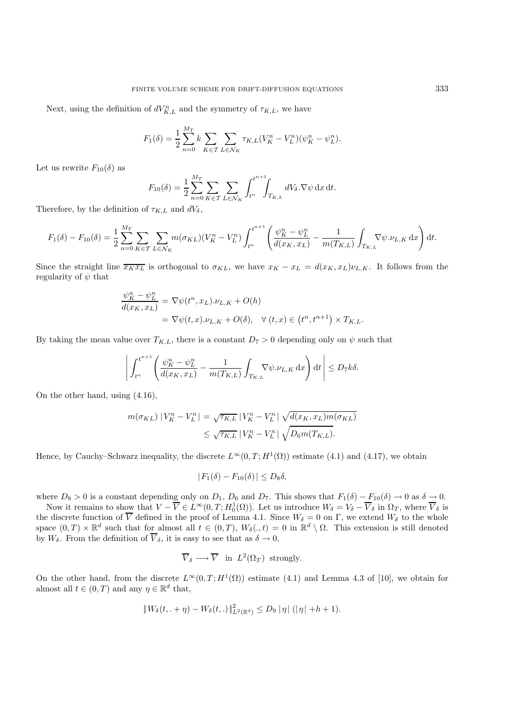Next, using the definition of  $dV_{K,L}^n$  and the symmetry of  $\tau_{K,L}$ , we have

$$
F_1(\delta) = \frac{1}{2} \sum_{n=0}^{M_T} k \sum_{K \in \mathcal{T}} \sum_{L \in \mathcal{N}_K} \tau_{K,L} (V_K^n - V_L^n) (\psi_K^n - \psi_L^n).
$$

Let us rewrite  $F_{10}(\delta)$  as

$$
F_{10}(\delta) = \frac{1}{2} \sum_{n=0}^{M_T} \sum_{K \in \mathcal{T}} \sum_{L \in \mathcal{N}_K} \int_{t^n}^{t^{n+1}} \int_{T_{K,L}} dV_{\delta}.\nabla \psi \,dx \,dt.
$$

Therefore, by the definition of  $\tau_{K,L}$  and  $dV_{\delta}$ ,

$$
F_1(\delta) - F_{10}(\delta) = \frac{1}{2} \sum_{n=0}^{M_T} \sum_{K \in \mathcal{T}} \sum_{L \in \mathcal{N}_K} m(\sigma_{KL}) (V_K^n - V_L^n) \int_{t^n}^{t^{n+1}} \left( \frac{\psi_K^n - \psi_L^n}{d(x_K, x_L)} - \frac{1}{m(T_{K,L})} \int_{T_{K,L}} \nabla \psi . \nu_{L,K} \, dx \right) dt.
$$

Since the straight line  $\overline{x_Kx_L}$  is orthogonal to  $\sigma_{KL}$ , we have  $x_K - x_L = d(x_K, x_L)\nu_{L,K}$ . It follows from the regularity of  $\psi$  that

$$
\frac{\psi_K^n - \psi_L^n}{d(x_K, x_L)} = \nabla \psi(t^n, x_L) . \nu_{L,K} + O(h)
$$
  
=  $\nabla \psi(t, x) . \nu_{L,K} + O(\delta), \quad \forall (t, x) \in (t^n, t^{n+1}) \times T_{K,L}.$ 

By taking the mean value over  $T_{K,L}$ , there is a constant  $D_7 > 0$  depending only on  $\psi$  such that

$$
\left| \int_{t^n}^{t^{n+1}} \left( \frac{\psi_K^n - \psi_L^n}{d(x_K, x_L)} - \frac{1}{m(T_{K,L})} \int_{T_{K,L}} \nabla \psi . \nu_{L,K} \, dx \right) dt \right| \le D_7 k \delta.
$$

On the other hand, using (4.16),

$$
m(\sigma_{KL}) |V_K^n - V_L^n| = \sqrt{\tau_{K,L}} |V_K^n - V_L^n| \sqrt{d(x_K, x_L)m(\sigma_{KL})}
$$
  
 
$$
\leq \sqrt{\tau_{K,L}} |V_K^n - V_L^n| \sqrt{D_6 m(T_{K,L})}.
$$

Hence, by Cauchy–Schwarz inequality, the discrete  $L^{\infty}(0,T; H^{1}(\Omega))$  estimate (4.1) and (4.17), we obtain

$$
|F_1(\delta) - F_{10}(\delta)| \le D_8 \delta,
$$

where  $D_8 > 0$  is a constant depending only on  $D_1$ ,  $D_6$  and  $D_7$ . This shows that  $F_1(\delta) - F_{10}(\delta) \to 0$  as  $\delta \to 0$ .

Now it remains to show that  $V - \overline{V} \in L^{\infty}(0,T; H_0^1(\Omega))$ . Let us introduce  $W_{\delta} = V_{\delta} - \overline{V}_{\delta}$  in  $\Omega_T$ , where  $\overline{V}_{\delta}$  is the discrete function of  $\overline{V}$  defined in the proof of Lemma 4.1. Since  $W_{\delta} = 0$  on  $\Gamma$ , we extend  $W_{\delta}$  to the whole space  $(0, T) \times \mathbb{R}^d$  such that for almost all  $t \in (0, T)$ ,  $W_\delta(., t) = 0$  in  $\mathbb{R}^d \setminus \Omega$ . This extension is still denoted by  $W_\delta$ . From the definition of  $\overline{V}_\delta$ , it is easy to see that as  $\delta \to 0$ ,

$$
\overline{V}_{\delta} \longrightarrow \overline{V}
$$
 in  $L^2(\Omega_T)$  strongly.

On the other hand, from the discrete  $L^{\infty}(0,T; H^{1}(\Omega))$  estimate (4.1) and Lemma 4.3 of [10], we obtain for almost all  $t \in (0, T)$  and any  $\eta \in \mathbb{R}^d$  that,

$$
||W_{\delta}(t, . + \eta) - W_{\delta}(t, .)||_{L^{2}(\mathbb{R}^{d})}^{2} \leq D_{9} |\eta| (|\eta| + h + 1).
$$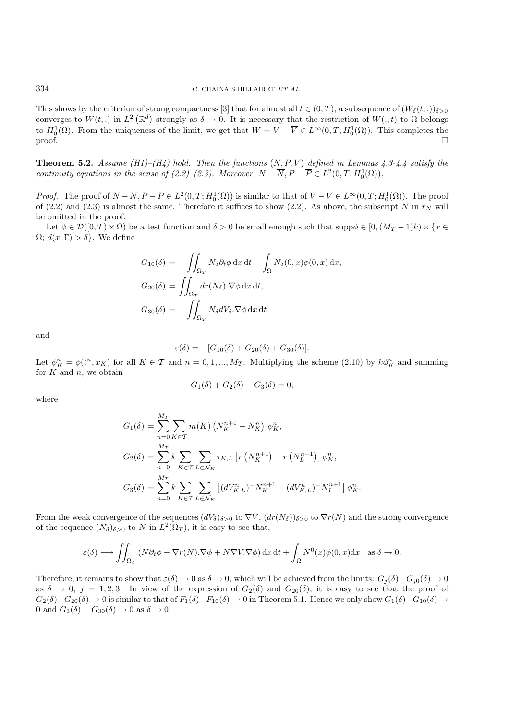This shows by the criterion of strong compactness [3] that for almost all  $t \in (0, T)$ , a subsequence of  $(W_\delta(t, .))_{\delta > 0}$ converges to  $W(t,.)$  in  $L^2(\mathbb{R}^d)$  strongly as  $\delta \to 0$ . It is necessary that the restriction of  $W(.,t)$  to  $\Omega$  belongs to  $H_0^1(\Omega)$ . From the uniqueness of the limit, we get that  $W = V - \overline{V} \in L^\infty(0,T; H_0^1(\Omega))$ . This completes the proof.  $\Box$ 

**Theorem 5.2.** *Assume (H1)–(H4) hold. Then the functions*  $(N, P, V)$  *defined in Lemmas 4.3-4.4 satisfy the continuity equations in the sense of (2.2)–(2.3). Moreover,*  $N - \overline{N}$ ,  $P - \overline{P} \in L^2(0, T; H_0^1(\Omega))$ .

*Proof.* The proof of  $N - \overline{N}$ ,  $P - \overline{P} \in L^2(0,T; H_0^1(\Omega))$  is similar to that of  $V - \overline{V} \in L^\infty(0,T; H_0^1(\Omega))$ . The proof of (2.2) and (2.3) is almost the same. Therefore it suffices to show (2.2). As above, the subscript N in  $r<sub>N</sub>$  will be omitted in the proof.

Let  $\phi \in \mathcal{D}([0,T) \times \Omega)$  be a test function and  $\delta > 0$  be small enough such that supp $\phi \in [0,(M_T-1)k) \times \{x \in \Omega\}$  $\Omega$ ;  $d(x, \Gamma) > \delta$ . We define

$$
G_{10}(\delta) = -\iint_{\Omega_T} N_\delta \partial_t \phi \, dx \, dt - \int_{\Omega} N_\delta(0, x) \phi(0, x) \, dx,
$$
  
\n
$$
G_{20}(\delta) = \iint_{\Omega_T} dr(N_\delta) . \nabla \phi \, dx \, dt,
$$
  
\n
$$
G_{30}(\delta) = -\iint_{\Omega_T} N_\delta dV_\delta . \nabla \phi \, dx \, dt
$$

and

$$
\varepsilon(\delta) = -[G_{10}(\delta) + G_{20}(\delta) + G_{30}(\delta)].
$$

Let  $\phi_K^n = \phi(t^n, x_K)$  for all  $K \in \mathcal{T}$  and  $n = 0, 1, ..., M_T$ . Multiplying the scheme (2.10) by  $k\phi_K^n$  and summing for  $K$  and  $n$ , we obtain

$$
G_1(\delta) + G_2(\delta) + G_3(\delta) = 0,
$$

where

$$
G_1(\delta) = \sum_{n=0}^{M_T} \sum_{K \in \mathcal{T}} m(K) \left( N_K^{n+1} - N_K^n \right) \phi_K^n,
$$
  
\n
$$
G_2(\delta) = \sum_{n=0}^{M_T} k \sum_{K \in \mathcal{T}} \sum_{L \in \mathcal{N}_K} \tau_{K,L} \left[ r \left( N_K^{n+1} \right) - r \left( N_L^{n+1} \right) \right] \phi_K^n,
$$
  
\n
$$
G_3(\delta) = \sum_{n=0}^{M_T} k \sum_{K \in \mathcal{T}} \sum_{L \in \mathcal{N}_K} \left[ \left( dV_{K,L}^n \right)^+ N_K^{n+1} + \left( dV_{K,L}^n \right)^- N_L^{n+1} \right] \phi_K^n.
$$

From the weak convergence of the sequences  $(dV_\delta)_{\delta>0}$  to  $\nabla V$ ,  $(dr(N_\delta))_{\delta>0}$  to  $\nabla r(N)$  and the strong convergence of the sequence  $(N_{\delta})_{\delta>0}$  to N in  $L^2(\Omega_T)$ , it is easy to see that,

$$
\varepsilon(\delta) \longrightarrow \iint_{\Omega_T} (N \partial_t \phi - \nabla r(N) . \nabla \phi + N \nabla V . \nabla \phi) \, dx \, dt + \int_{\Omega} N^0(x) \phi(0, x) dx \text{ as } \delta \to 0.
$$

Therefore, it remains to show that  $\varepsilon(\delta) \to 0$  as  $\delta \to 0$ , which will be achieved from the limits:  $G_i(\delta) - G_{i0}(\delta) \to 0$ as  $\delta \to 0$ ,  $j = 1, 2, 3$ . In view of the expression of  $G_2(\delta)$  and  $G_{20}(\delta)$ , it is easy to see that the proof of  $G_2(\delta)-G_{20}(\delta) \to 0$  is similar to that of  $F_1(\delta)-F_{10}(\delta) \to 0$  in Theorem 5.1. Hence we only show  $G_1(\delta)-G_{10}(\delta) \to 0$ 0 and  $G_3(\delta) - G_{30}(\delta) \rightarrow 0$  as  $\delta \rightarrow 0$ .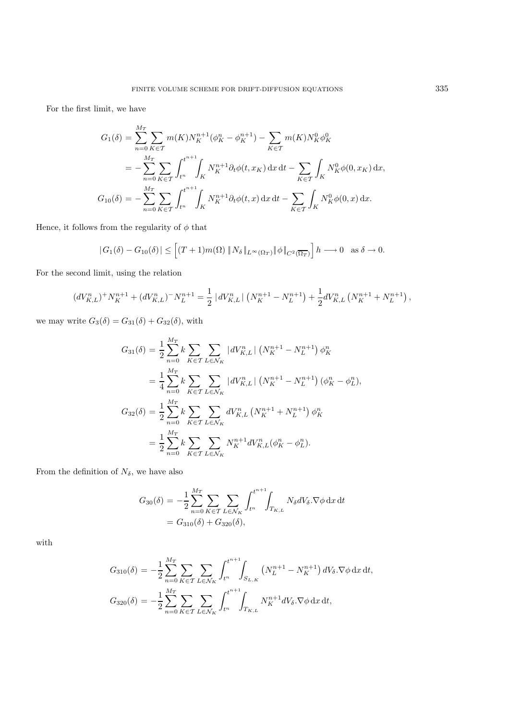For the first limit, we have

$$
G_1(\delta) = \sum_{n=0}^{M_T} \sum_{K \in \mathcal{T}} m(K) N_K^{n+1} (\phi_K^n - \phi_K^{n+1}) - \sum_{K \in \mathcal{T}} m(K) N_K^0 \phi_K^0
$$
  
= 
$$
- \sum_{n=0}^{M_T} \sum_{K \in \mathcal{T}} \int_{t^n}^{t^{n+1}} \int_K N_K^{n+1} \partial_t \phi(t, x_K) dx dt - \sum_{K \in \mathcal{T}} \int_K N_K^0 \phi(0, x_K) dx,
$$
  

$$
G_{10}(\delta) = - \sum_{n=0}^{M_T} \sum_{K \in \mathcal{T}} \int_{t^n}^{t^{n+1}} \int_K N_K^{n+1} \partial_t \phi(t, x) dx dt - \sum_{K \in \mathcal{T}} \int_K N_K^0 \phi(0, x) dx.
$$

Hence, it follows from the regularity of  $\phi$  that

$$
|G_1(\delta) - G_{10}(\delta)| \le \left[ (T+1)m(\Omega) \|N_{\delta}\|_{L^{\infty}(\Omega_T)} \|\phi\|_{C^2(\overline{\Omega_T})} \right] h \longrightarrow 0 \text{ as } \delta \to 0.
$$

For the second limit, using the relation

$$
(dV_{K,L}^n)^+N_K^{n+1} + (dV_{K,L}^n)^-N_L^{n+1} = \frac{1}{2} |dV_{K,L}^n| \left(N_K^{n+1} - N_L^{n+1}\right) + \frac{1}{2}dV_{K,L}^n \left(N_K^{n+1} + N_L^{n+1}\right),
$$

we may write  $G_3(\delta) = G_{31}(\delta) + G_{32}(\delta)$ , with

$$
G_{31}(\delta) = \frac{1}{2} \sum_{n=0}^{M_T} k \sum_{K \in \mathcal{T}} \sum_{L \in \mathcal{N}_K} |dV_{K,L}^n| (N_K^{n+1} - N_L^{n+1}) \phi_K^n
$$
  
\n
$$
= \frac{1}{4} \sum_{n=0}^{M_T} k \sum_{K \in \mathcal{T}} \sum_{L \in \mathcal{N}_K} |dV_{K,L}^n| (N_K^{n+1} - N_L^{n+1}) (\phi_K^n - \phi_L^n),
$$
  
\n
$$
G_{32}(\delta) = \frac{1}{2} \sum_{n=0}^{M_T} k \sum_{K \in \mathcal{T}} \sum_{L \in \mathcal{N}_K} dV_{K,L}^n (N_K^{n+1} + N_L^{n+1}) \phi_K^n
$$
  
\n
$$
= \frac{1}{2} \sum_{n=0}^{M_T} k \sum_{K \in \mathcal{T}} \sum_{L \in \mathcal{N}_K} N_K^{n+1} dV_{K,L}^n (\phi_K^n - \phi_L^n).
$$

From the definition of  $N_{\delta}$ , we have also

$$
G_{30}(\delta) = -\frac{1}{2} \sum_{n=0}^{M_T} \sum_{K \in \mathcal{T}} \sum_{L \in \mathcal{N}_K} \int_{t^n}^{t^{n+1}} \int_{T_{K,L}} N_{\delta} dV_{\delta} \cdot \nabla \phi \,dx \,dt
$$

$$
= G_{310}(\delta) + G_{320}(\delta),
$$

with

$$
G_{310}(\delta) = -\frac{1}{2} \sum_{n=0}^{M_T} \sum_{K \in \mathcal{T}} \sum_{L \in \mathcal{N}_K} \int_{t^n}^{t^{n+1}} \int_{S_{L,K}} \left( N_L^{n+1} - N_K^{n+1} \right) dV_{\delta} \cdot \nabla \phi \, dx \, dt,
$$
  

$$
G_{320}(\delta) = -\frac{1}{2} \sum_{n=0}^{M_T} \sum_{K \in \mathcal{T}} \sum_{L \in \mathcal{N}_K} \int_{t^n}^{t^{n+1}} \int_{T_{K,L}} N_K^{n+1} dV_{\delta} \cdot \nabla \phi \, dx \, dt,
$$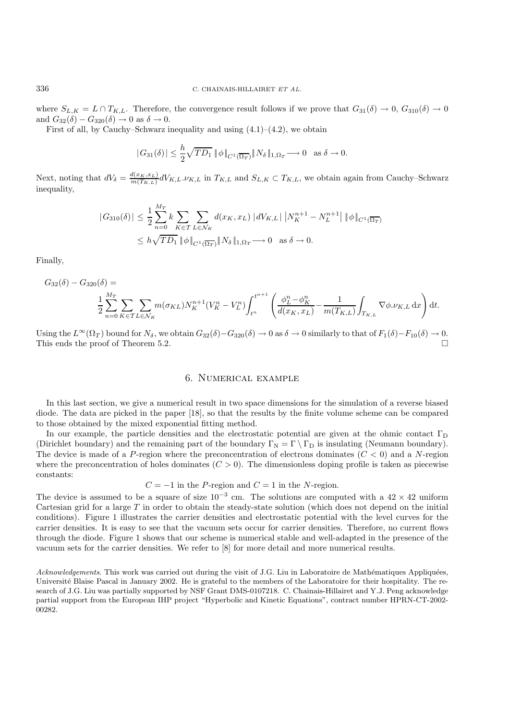where  $S_{L,K} = L \cap T_{K,L}$ . Therefore, the convergence result follows if we prove that  $G_{31}(\delta) \to 0$ ,  $G_{310}(\delta) \to 0$ and  $G_{32}(\delta) - G_{320}(\delta) \rightarrow 0$  as  $\delta \rightarrow 0$ .

First of all, by Cauchy–Schwarz inequality and using  $(4.1)$ – $(4.2)$ , we obtain

$$
|G_{31}(\delta)| \leq \frac{h}{2} \sqrt{TD_1} \, \|\phi\|_{C^1(\overline{\Omega_T})} \|N_\delta\|_{1,\Omega_T} \longrightarrow 0 \quad \text{as } \delta \to 0.
$$

Next, noting that  $dV_{\delta} = \frac{d(x_K, x_L)}{m(T_{K,L})} dV_{K,L} \cdot \nu_{K,L}$  in  $T_{K,L}$  and  $S_{L,K} \subset T_{K,L}$ , we obtain again from Cauchy–Schwarz inequality,

$$
|G_{310}(\delta)| \leq \frac{1}{2} \sum_{n=0}^{M_T} k \sum_{K \in \mathcal{T}} \sum_{L \in \mathcal{N}_K} d(x_K, x_L) |dV_{K,L}| |N_K^{n+1} - N_L^{n+1}| \|\phi\|_{C^1(\overline{\Omega_T})}
$$
  

$$
\leq h \sqrt{T D_1} \|\phi\|_{C^1(\overline{\Omega_T})} \|N_\delta\|_{1, \Omega_T} \longrightarrow 0 \text{ as } \delta \to 0.
$$

Finally,

$$
G_{32}(\delta) - G_{320}(\delta) =
$$
  

$$
\frac{1}{2} \sum_{n=0}^{M_T} \sum_{K \in TL \in N_K} m(\sigma_{KL}) N_K^{n+1} (V_K^n - V_L^n) \int_{t^n}^{t^{n+1}} \left( \frac{\phi_L^n - \phi_K^n}{d(x_K, x_L)} - \frac{1}{m(T_{K,L})} \int_{T_{K,L}} \nabla \phi \cdot \nu_{K,L} \, dx \right) dt.
$$

Using the  $L^{\infty}(\Omega_T)$  bound for  $N_{\delta}$ , we obtain  $G_{32}(\delta)-G_{320}(\delta) \to 0$  as  $\delta \to 0$  similarly to that of  $F_1(\delta)-F_{10}(\delta) \to 0$ . This ends the proof of Theorem 5.2.

### 6. Numerical example

In this last section, we give a numerical result in two space dimensions for the simulation of a reverse biased diode. The data are picked in the paper [18], so that the results by the finite volume scheme can be compared to those obtained by the mixed exponential fitting method.

In our example, the particle densities and the electrostatic potential are given at the ohmic contact  $\Gamma_{\rm D}$ (Dirichlet boundary) and the remaining part of the boundary  $\Gamma_N = \Gamma \setminus \Gamma_D$  is insulating (Neumann boundary). The device is made of a P-region where the preconcentration of electrons dominates  $(C < 0)$  and a N-region where the preconcentration of holes dominates  $(C > 0)$ . The dimensionless doping profile is taken as piecewise constants:

$$
C = -1
$$
 in the P-region and  $C = 1$  in the N-region.

The device is assumed to be a square of size  $10^{-3}$  cm. The solutions are computed with a  $42 \times 42$  uniform Cartesian grid for a large T in order to obtain the steady-state solution (which does not depend on the initial conditions). Figure 1 illustrates the carrier densities and electrostatic potential with the level curves for the carrier densities. It is easy to see that the vacuum sets occur for carrier densities. Therefore, no current flows through the diode. Figure 1 shows that our scheme is numerical stable and well-adapted in the presence of the vacuum sets for the carrier densities. We refer to [8] for more detail and more numerical results.

*Acknowledgements*. This work was carried out during the visit of J.G. Liu in Laboratoire de Mathématiques Appliquées, Université Blaise Pascal in January 2002. He is grateful to the members of the Laboratoire for their hospitality. The research of J.G. Liu was partially supported by NSF Grant DMS-0107218. C. Chainais-Hillairet and Y.J. Peng acknowledge partial support from the European IHP project "Hyperbolic and Kinetic Equations", contract number HPRN-CT-2002- 00282.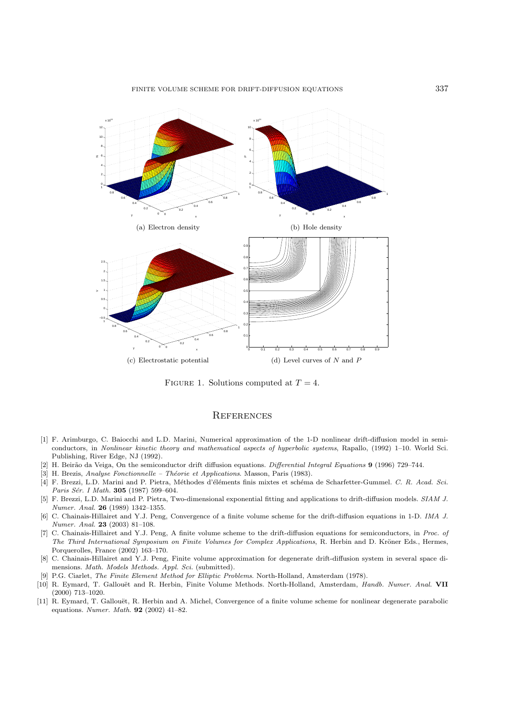

FIGURE 1. Solutions computed at  $T = 4$ .

## **REFERENCES**

- [1] F. Arimburgo, C. Baiocchi and L.D. Marini, Numerical approximation of the 1-D nonlinear drift-diffusion model in semiconductors, in Nonlinear kinetic theory and mathematical aspects of hyperbolic systems, Rapallo, (1992) 1–10. World Sci. Publishing, River Edge, NJ (1992).
- [2] H. Beirão da Veiga, On the semiconductor drift diffusion equations. Differential Integral Equations 9 (1996) 729–744.
- [3] H. Brezis, Analyse Fonctionnelle Théorie et Applications. Masson, Paris (1983).
- [4] F. Brezzi, L.D. Marini and P. Pietra, Méthodes d'éléments finis mixtes et schéma de Scharfetter-Gummel. C. R. Acad. Sci. Paris Sér. I Math. **305** (1987) 599-604.
- [5] F. Brezzi, L.D. Marini and P. Pietra, Two-dimensional exponential fitting and applications to drift-diffusion models. SIAM J. Numer. Anal. **26** (1989) 1342–1355.
- [6] C. Chainais-Hillairet and Y.J. Peng, Convergence of a finite volume scheme for the drift-diffusion equations in 1-D. IMA J. Numer. Anal. **23** (2003) 81–108.
- [7] C. Chainais-Hillairet and Y.J. Peng, A finite volume scheme to the drift-diffusion equations for semiconductors, in Proc. of The Third International Symposium on Finite Volumes for Complex Applications, R. Herbin and D. Kröner Eds., Hermes, Porquerolles, France (2002) 163–170.
- [8] C. Chainais-Hillairet and Y.J. Peng, Finite volume approximation for degenerate drift-diffusion system in several space dimensions. Math. Models Methods. Appl. Sci. (submitted).
- [9] P.G. Ciarlet, The Finite Element Method for Elliptic Problems. North-Holland, Amsterdam (1978).
- [10] R. Eymard, T. Gallouët and R. Herbin, Finite Volume Methods. North-Holland, Amsterdam, Handb. Numer. Anal. VII (2000) 713–1020.
- [11] R. Eymard, T. Gallouët, R. Herbin and A. Michel, Convergence of a finite volume scheme for nonlinear degenerate parabolic equations. Numer. Math. **92** (2002) 41–82.